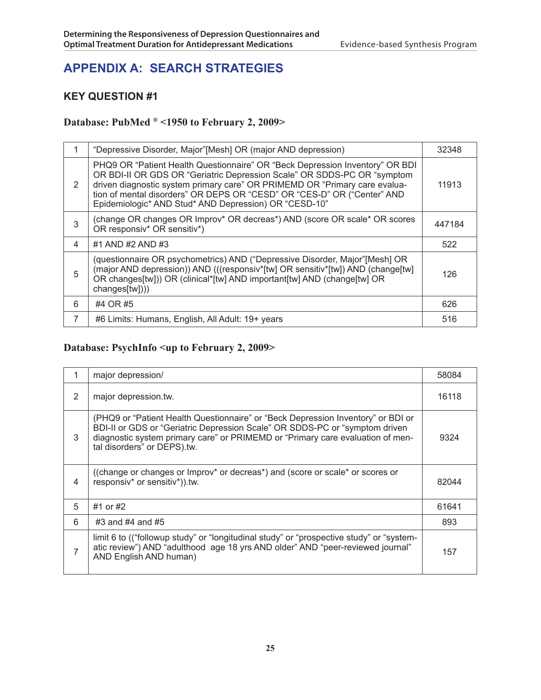## **APPENDIX A: SEARCH STRATEGIES**

## **Key Question #1**

## **Database: PubMed ® <1950 to February 2, 2009>**

|   | "Depressive Disorder, Major"[Mesh] OR (major AND depression)                                                                                                                                                                                                                                                                                                              | 32348  |
|---|---------------------------------------------------------------------------------------------------------------------------------------------------------------------------------------------------------------------------------------------------------------------------------------------------------------------------------------------------------------------------|--------|
| 2 | PHQ9 OR "Patient Health Questionnaire" OR "Beck Depression Inventory" OR BDI<br>OR BDI-II OR GDS OR "Geriatric Depression Scale" OR SDDS-PC OR "symptom<br>driven diagnostic system primary care" OR PRIMEMD OR "Primary care evalua-<br>tion of mental disorders" OR DEPS OR "CESD" OR "CES-D" OR ("Center" AND<br>Epidemiologic* AND Stud* AND Depression) OR "CESD-10" | 11913  |
| 3 | (change OR changes OR Improv* OR decreas*) AND (score OR scale* OR scores<br>OR responsiv* OR sensitiv*)                                                                                                                                                                                                                                                                  | 447184 |
| 4 | #1 AND #2 AND #3                                                                                                                                                                                                                                                                                                                                                          | 522    |
| 5 | (questionnaire OR psychometrics) AND ("Depressive Disorder, Major"[Mesh] OR<br>(major AND depression)) AND (((responsiv*[tw] OR sensitiv*[tw]) AND (change[tw]<br>OR changes[tw])) OR (clinical*[tw] AND important[tw] AND (change[tw] OR<br>changes[tw])))                                                                                                               | 126    |
| 6 | #4 OR #5                                                                                                                                                                                                                                                                                                                                                                  | 626    |
| 7 | #6 Limits: Humans, English, All Adult: 19+ years                                                                                                                                                                                                                                                                                                                          | 516    |

## **Database: PsychInfo <up to February 2, 2009>**

|   | major depression/                                                                                                                                                                                                                                                                 | 58084 |
|---|-----------------------------------------------------------------------------------------------------------------------------------------------------------------------------------------------------------------------------------------------------------------------------------|-------|
| 2 | major depression.tw.                                                                                                                                                                                                                                                              | 16118 |
| 3 | (PHQ9 or "Patient Health Questionnaire" or "Beck Depression Inventory" or BDI or<br>BDI-II or GDS or "Geriatric Depression Scale" OR SDDS-PC or "symptom driven"<br>diagnostic system primary care" or PRIMEMD or "Primary care evaluation of men-<br>tal disorders" or DEPS).tw. | 9324  |
| 4 | ((change or changes or Improv* or decreas*) and (score or scale* or scores or<br>responsiv* or sensitiv*)).tw.                                                                                                                                                                    | 82044 |
| 5 | #1 or #2                                                                                                                                                                                                                                                                          | 61641 |
| 6 | #3 and #4 and #5                                                                                                                                                                                                                                                                  | 893   |
| 7 | limit 6 to (("followup study" or "longitudinal study" or "prospective study" or "system-<br>atic review") AND "adulthood age 18 yrs AND older" AND "peer-reviewed journal"<br>AND English AND human)                                                                              | 157   |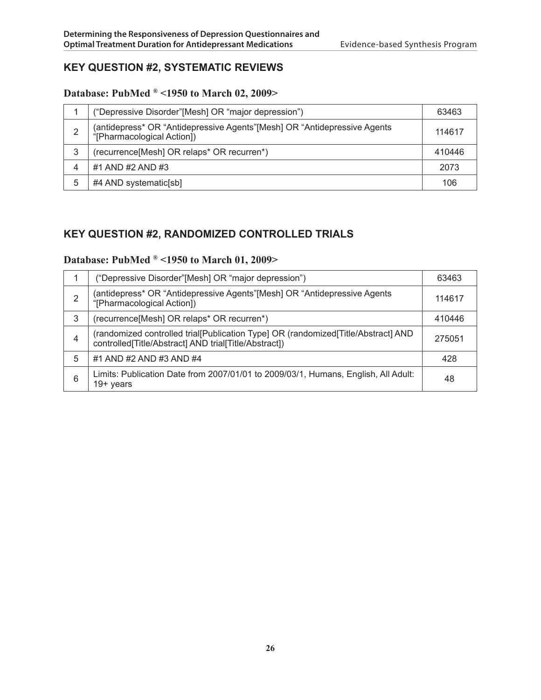## **Key Question #2, Systematic Reviews**

## **Database: PubMed ® <1950 to March 02, 2009>**

|   | ("Depressive Disorder"[Mesh] OR "major depression")                                                     | 63463  |
|---|---------------------------------------------------------------------------------------------------------|--------|
| 2 | (antidepress* OR "Antidepressive Agents" [Mesh] OR "Antidepressive Agents<br>"[Pharmacological Action]) | 114617 |
| 3 | (recurrence[Mesh] OR relaps* OR recurren*)                                                              | 410446 |
| 4 | #1 AND #2 AND #3                                                                                        | 2073   |
| 5 | #4 AND systematic[sb]                                                                                   | 106    |

## **Key Question #2, Randomized Controlled Trials**

## **Database: PubMed ® <1950 to March 01, 2009>**

|   | ("Depressive Disorder"[Mesh] OR "major depression")                                                                                        | 63463  |
|---|--------------------------------------------------------------------------------------------------------------------------------------------|--------|
| 2 | (antidepress* OR "Antidepressive Agents" [Mesh] OR "Antidepressive Agents<br>"[Pharmacological Action])                                    | 114617 |
| 3 | (recurrence[Mesh] OR relaps* OR recurren*)                                                                                                 | 410446 |
| 4 | (randomized controlled trial[Publication Type] OR (randomized[Title/Abstract] AND<br>controlled[Title/Abstract] AND trial[Title/Abstract]) | 275051 |
| 5 | #1 AND #2 AND #3 AND #4                                                                                                                    | 428    |
| 6 | Limits: Publication Date from 2007/01/01 to 2009/03/1, Humans, English, All Adult:<br>$19+$ years                                          | 48     |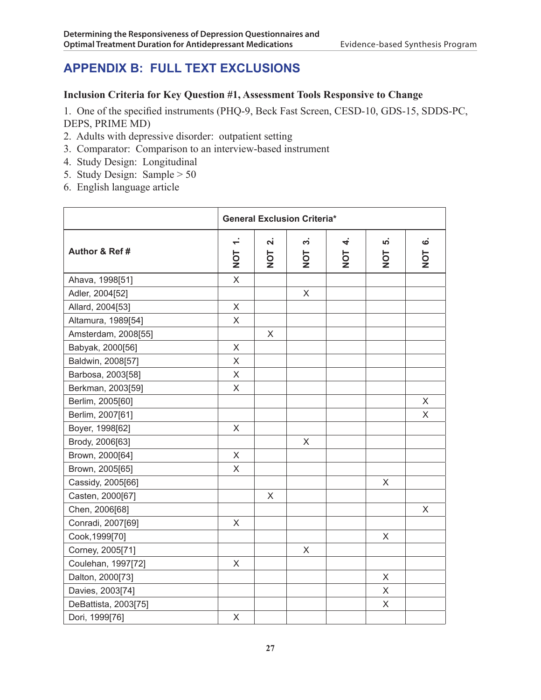## **APPENDIX B: FULL TEXT EXCLUSIONS**

#### **Inclusion Criteria for Key Question #1, Assessment Tools Responsive to Change**

1. One of the specified instruments (PHQ-9, Beck Fast Screen, CESD-10, GDS-15, SDDS-PC, DEPS, PRIME MD)

- 2. Adults with depressive disorder: outpatient setting
- 3. Comparator: Comparison to an interview-based instrument
- 4. Study Design: Longitudinal
- 5. Study Design: Sample > 50
- 6. English language article

|                      |               | <b>General Exclusion Criteria*</b> |                  |          |           |                           |
|----------------------|---------------|------------------------------------|------------------|----------|-----------|---------------------------|
| Author & Ref #       | $\div$<br>TON | <b>N</b><br>$\frac{1}{2}$          | ကံ<br><b>TON</b> | 4<br>TON | ທ່<br>TON | $\dot{\mathbf{c}}$<br>TON |
| Ahava, 1998[51]      | $\sf X$       |                                    |                  |          |           |                           |
| Adler, 2004[52]      |               |                                    | X                |          |           |                           |
| Allard, 2004[53]     | $\times$      |                                    |                  |          |           |                           |
| Altamura, 1989[54]   | X             |                                    |                  |          |           |                           |
| Amsterdam, 2008[55]  |               | X                                  |                  |          |           |                           |
| Babyak, 2000[56]     | X             |                                    |                  |          |           |                           |
| Baldwin, 2008[57]    | X             |                                    |                  |          |           |                           |
| Barbosa, 2003[58]    | X             |                                    |                  |          |           |                           |
| Berkman, 2003[59]    | X             |                                    |                  |          |           |                           |
| Berlim, 2005[60]     |               |                                    |                  |          |           | X                         |
| Berlim, 2007[61]     |               |                                    |                  |          |           | X                         |
| Boyer, 1998[62]      | X             |                                    |                  |          |           |                           |
| Brody, 2006[63]      |               |                                    | X                |          |           |                           |
| Brown, 2000[64]      | X             |                                    |                  |          |           |                           |
| Brown, 2005[65]      | X             |                                    |                  |          |           |                           |
| Cassidy, 2005[66]    |               |                                    |                  |          | X         |                           |
| Casten, 2000[67]     |               | X                                  |                  |          |           |                           |
| Chen, 2006[68]       |               |                                    |                  |          |           | X                         |
| Conradi, 2007[69]    | X             |                                    |                  |          |           |                           |
| Cook, 1999[70]       |               |                                    |                  |          | X         |                           |
| Corney, 2005[71]     |               |                                    | X                |          |           |                           |
| Coulehan, 1997[72]   | $\mathsf{X}$  |                                    |                  |          |           |                           |
| Dalton, 2000[73]     |               |                                    |                  |          | X         |                           |
| Davies, 2003[74]     |               |                                    |                  |          | X         |                           |
| DeBattista, 2003[75] |               |                                    |                  |          | X         |                           |
| Dori, 1999[76]       | X             |                                    |                  |          |           |                           |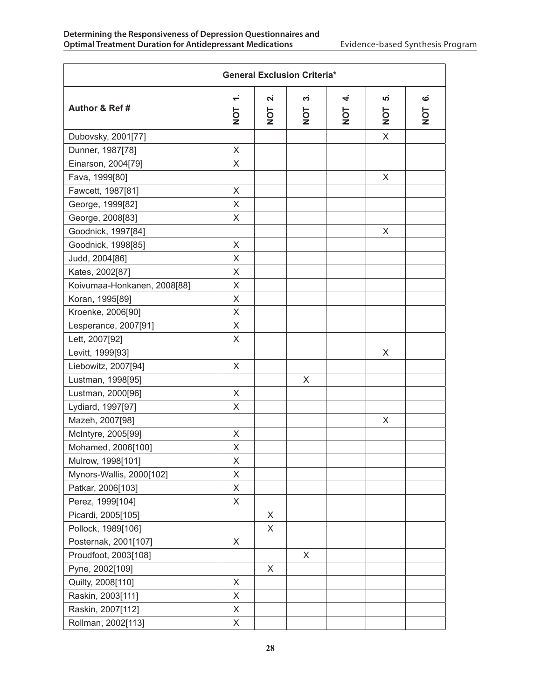|                             | <b>General Exclusion Criteria*</b>         |                                      |                      |          |               |          |
|-----------------------------|--------------------------------------------|--------------------------------------|----------------------|----------|---------------|----------|
| Author & Ref #              | $\overline{\phantom{0}}$<br>$\overline{C}$ | $\dot{\mathbf{r}}$<br>$\overline{5}$ | က်<br>$\overline{5}$ | 4<br>TON | ທ່<br>7<br>No | ဖ<br>TON |
| Dubovsky, 2001[77]          |                                            |                                      |                      |          | X             |          |
| Dunner, 1987[78]            | X                                          |                                      |                      |          |               |          |
| Einarson, 2004[79]          | X                                          |                                      |                      |          |               |          |
| Fava, 1999[80]              |                                            |                                      |                      |          | X             |          |
| Fawcett, 1987[81]           | X                                          |                                      |                      |          |               |          |
| George, 1999[82]            | X                                          |                                      |                      |          |               |          |
| George, 2008[83]            | X                                          |                                      |                      |          |               |          |
| Goodnick, 1997[84]          |                                            |                                      |                      |          | X             |          |
| Goodnick, 1998[85]          | X                                          |                                      |                      |          |               |          |
| Judd, 2004[86]              | X                                          |                                      |                      |          |               |          |
| Kates, 2002[87]             | X                                          |                                      |                      |          |               |          |
| Koivumaa-Honkanen, 2008[88] | X                                          |                                      |                      |          |               |          |
| Koran, 1995[89]             | X                                          |                                      |                      |          |               |          |
| Kroenke, 2006[90]           | X                                          |                                      |                      |          |               |          |
| Lesperance, 2007[91]        | X                                          |                                      |                      |          |               |          |
| Lett, 2007[92]              | X                                          |                                      |                      |          |               |          |
| Levitt, 1999[93]            |                                            |                                      |                      |          | X             |          |
| Liebowitz, 2007[94]         | X                                          |                                      |                      |          |               |          |
| Lustman, 1998[95]           |                                            |                                      | X                    |          |               |          |
| Lustman, 2000[96]           | X                                          |                                      |                      |          |               |          |
| Lydiard, 1997[97]           | X                                          |                                      |                      |          |               |          |
| Mazeh, 2007[98]             |                                            |                                      |                      |          | X             |          |
| McIntyre, 2005[99]          | X                                          |                                      |                      |          |               |          |
| Mohamed, 2006[100]          | X                                          |                                      |                      |          |               |          |
| Mulrow, 1998[101]           | Χ                                          |                                      |                      |          |               |          |
| Mynors-Wallis, 2000[102]    | X                                          |                                      |                      |          |               |          |
| Patkar, 2006[103]           | $\boldsymbol{\mathsf{X}}$                  |                                      |                      |          |               |          |
| Perez, 1999[104]            | X                                          |                                      |                      |          |               |          |
| Picardi, 2005[105]          |                                            | X                                    |                      |          |               |          |
| Pollock, 1989[106]          |                                            | X                                    |                      |          |               |          |
| Posternak, 2001[107]        | X                                          |                                      |                      |          |               |          |
| Proudfoot, 2003[108]        |                                            |                                      | X                    |          |               |          |
| Pyne, 2002[109]             |                                            | X                                    |                      |          |               |          |
| Quilty, 2008[110]           | X                                          |                                      |                      |          |               |          |
| Raskin, 2003[111]           | X                                          |                                      |                      |          |               |          |
| Raskin, 2007[112]           | $\mathsf X$                                |                                      |                      |          |               |          |
| Rollman, 2002[113]          | X                                          |                                      |                      |          |               |          |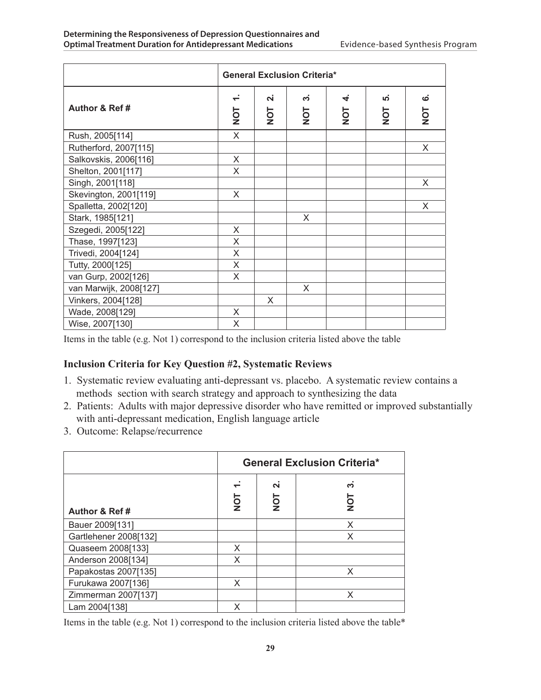|                        | <b>General Exclusion Criteria*</b>         |                                     |          |                     |                                 |                     |
|------------------------|--------------------------------------------|-------------------------------------|----------|---------------------|---------------------------------|---------------------|
| Author & Ref#          | $\overline{\phantom{0}}$<br>$\overline{Q}$ | $\dot{\mathsf{N}}$<br>$\frac{1}{2}$ | က<br>TON | 4<br>$\overline{O}$ | $\overline{a}$<br>$\frac{1}{2}$ | ဖ<br>$\overline{O}$ |
| Rush, 2005[114]        | X                                          |                                     |          |                     |                                 |                     |
| Rutherford, 2007[115]  |                                            |                                     |          |                     |                                 | X                   |
| Salkovskis, 2006[116]  | X                                          |                                     |          |                     |                                 |                     |
| Shelton, 2001[117]     | X                                          |                                     |          |                     |                                 |                     |
| Singh, 2001[118]       |                                            |                                     |          |                     |                                 | X                   |
| Skevington, 2001[119]  | X                                          |                                     |          |                     |                                 |                     |
| Spalletta, 2002[120]   |                                            |                                     |          |                     |                                 | X                   |
| Stark, 1985[121]       |                                            |                                     | X        |                     |                                 |                     |
| Szegedi, 2005[122]     | X                                          |                                     |          |                     |                                 |                     |
| Thase, 1997[123]       | X                                          |                                     |          |                     |                                 |                     |
| Trivedi, 2004[124]     | X                                          |                                     |          |                     |                                 |                     |
| Tutty, 2000[125]       | X                                          |                                     |          |                     |                                 |                     |
| van Gurp, 2002[126]    | X                                          |                                     |          |                     |                                 |                     |
| van Marwijk, 2008[127] |                                            |                                     | X        |                     |                                 |                     |
| Vinkers, 2004[128]     |                                            | X                                   |          |                     |                                 |                     |
| Wade, 2008[129]<br>X   |                                            |                                     |          |                     |                                 |                     |
| Wise, 2007[130]        | X                                          |                                     |          |                     |                                 |                     |

Items in the table (e.g. Not 1) correspond to the inclusion criteria listed above the table

#### **Inclusion Criteria for Key Question #2, Systematic Reviews**

- 1. Systematic review evaluating anti-depressant vs. placebo. A systematic review contains a methods section with search strategy and approach to synthesizing the data
- 2. Patients: Adults with major depressive disorder who have remitted or improved substantially with anti-depressant medication, English language article
- 3. Outcome: Relapse/recurrence

|                       | <b>General Exclusion Criteria*</b> |                                |                     |  |
|-----------------------|------------------------------------|--------------------------------|---------------------|--|
| Author & Ref#         | <b>TON</b>                         | $\overline{\mathbf{u}}$<br>TON | ო<br>$\overline{5}$ |  |
| Bauer 2009[131]       |                                    |                                | X                   |  |
| Gartlehener 2008[132] |                                    |                                | X                   |  |
| Quaseem 2008[133]     | X                                  |                                |                     |  |
| Anderson 2008[134]    | X                                  |                                |                     |  |
| Papakostas 2007[135]  |                                    |                                | X                   |  |
| Furukawa 2007[136]    | X                                  |                                |                     |  |
| Zimmerman 2007[137]   |                                    |                                | X                   |  |
| Lam 2004[138]         | X                                  |                                |                     |  |

Items in the table (e.g. Not 1) correspond to the inclusion criteria listed above the table\*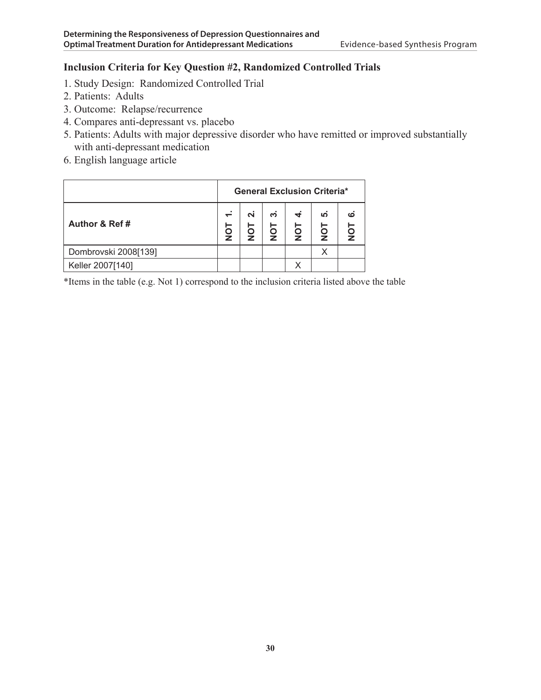### **Inclusion Criteria for Key Question #2, Randomized Controlled Trials**

- 1. Study Design: Randomized Controlled Trial
- 2. Patients: Adults
- 3. Outcome: Relapse/recurrence
- 4. Compares anti-depressant vs. placebo
- 5. Patients: Adults with major depressive disorder who have remitted or improved substantially with anti-depressant medication
- 6. English language article

|                      | <b>General Exclusion Criteria*</b> |   |         |          |           |   |
|----------------------|------------------------------------|---|---------|----------|-----------|---|
| Author & Ref#        | $\div$<br>⊢<br>ž                   | N | ຕ່<br>5 | 4<br>TON | ທ່<br>TON | ဖ |
| Dombrovski 2008[139] |                                    |   |         |          | Х         |   |
| Keller 2007[140]     |                                    |   |         |          |           |   |

\*Items in the table (e.g. Not 1) correspond to the inclusion criteria listed above the table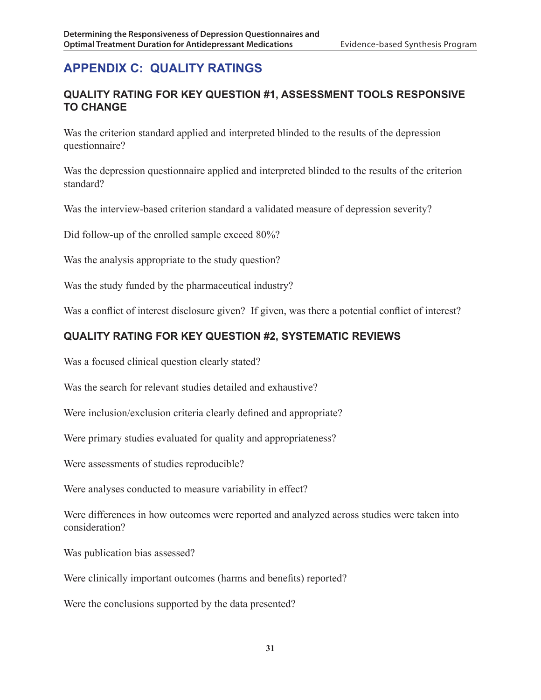## **APPENDIX C: QUALITY RATINGS**

## **Quality Rating for Key Question #1, Assessment Tools Responsive to Change**

Was the criterion standard applied and interpreted blinded to the results of the depression questionnaire?

Was the depression questionnaire applied and interpreted blinded to the results of the criterion standard?

Was the interview-based criterion standard a validated measure of depression severity?

Did follow-up of the enrolled sample exceed 80%?

Was the analysis appropriate to the study question?

Was the study funded by the pharmaceutical industry?

Was a conflict of interest disclosure given? If given, was there a potential conflict of interest?

## **Quality Rating for Key Question #2, Systematic Reviews**

Was a focused clinical question clearly stated?

Was the search for relevant studies detailed and exhaustive?

Were inclusion/exclusion criteria clearly defined and appropriate?

Were primary studies evaluated for quality and appropriateness?

Were assessments of studies reproducible?

Were analyses conducted to measure variability in effect?

Were differences in how outcomes were reported and analyzed across studies were taken into consideration?

Was publication bias assessed?

Were clinically important outcomes (harms and benefits) reported?

Were the conclusions supported by the data presented?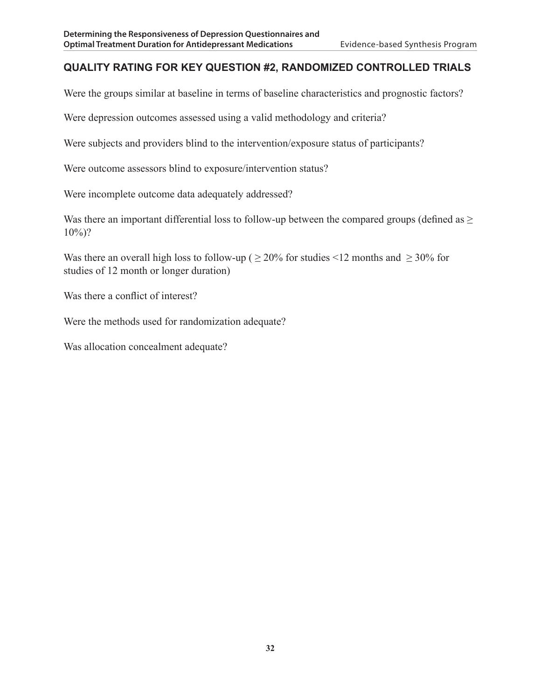## **Quality Rating for Key Question #2, Randomized Controlled Trials**

Were the groups similar at baseline in terms of baseline characteristics and prognostic factors?

Were depression outcomes assessed using a valid methodology and criteria?

Were subjects and providers blind to the intervention/exposure status of participants?

Were outcome assessors blind to exposure/intervention status?

Were incomplete outcome data adequately addressed?

Was there an important differential loss to follow-up between the compared groups (defined as >  $10\%)$ ?

Was there an overall high loss to follow-up ( $\geq$  20% for studies <12 months and  $\geq$  30% for studies of 12 month or longer duration)

Was there a conflict of interest?

Were the methods used for randomization adequate?

Was allocation concealment adequate?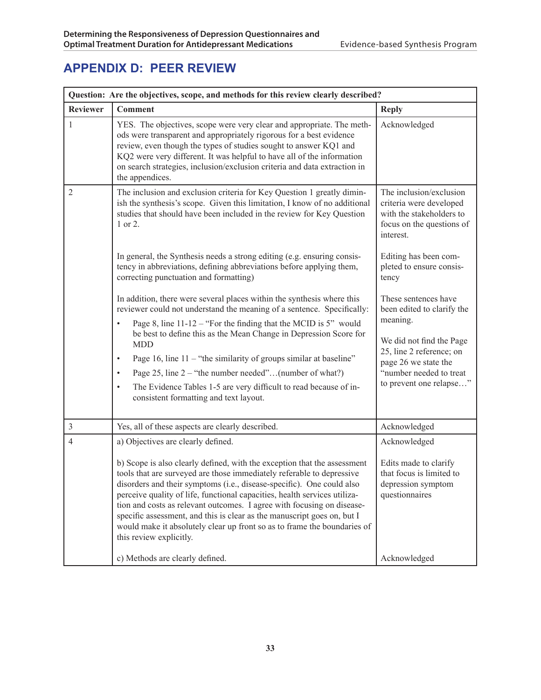## **APPENDIX D: PEER REVIEW**

| Question: Are the objectives, scope, and methods for this review clearly described? |                                                                                                                                                                                                                                                                                                                                                                                                                                                                                                                                                                                                                |                                                                                                                                                                                                      |  |  |  |
|-------------------------------------------------------------------------------------|----------------------------------------------------------------------------------------------------------------------------------------------------------------------------------------------------------------------------------------------------------------------------------------------------------------------------------------------------------------------------------------------------------------------------------------------------------------------------------------------------------------------------------------------------------------------------------------------------------------|------------------------------------------------------------------------------------------------------------------------------------------------------------------------------------------------------|--|--|--|
| <b>Reviewer</b>                                                                     | <b>Comment</b>                                                                                                                                                                                                                                                                                                                                                                                                                                                                                                                                                                                                 | <b>Reply</b>                                                                                                                                                                                         |  |  |  |
| $\mathbf{1}$                                                                        | YES. The objectives, scope were very clear and appropriate. The meth-<br>ods were transparent and appropriately rigorous for a best evidence<br>review, even though the types of studies sought to answer KQ1 and<br>KQ2 were very different. It was helpful to have all of the information<br>on search strategies, inclusion/exclusion criteria and data extraction in<br>the appendices.                                                                                                                                                                                                                    | Acknowledged                                                                                                                                                                                         |  |  |  |
| $\overline{2}$                                                                      | The inclusion and exclusion criteria for Key Question 1 greatly dimin-<br>ish the synthesis's scope. Given this limitation, I know of no additional<br>studies that should have been included in the review for Key Question<br>1 or 2.                                                                                                                                                                                                                                                                                                                                                                        | The inclusion/exclusion<br>criteria were developed<br>with the stakeholders to<br>focus on the questions of<br>interest.                                                                             |  |  |  |
|                                                                                     | In general, the Synthesis needs a strong editing (e.g. ensuring consis-<br>tency in abbreviations, defining abbreviations before applying them,<br>correcting punctuation and formatting)                                                                                                                                                                                                                                                                                                                                                                                                                      | Editing has been com-<br>pleted to ensure consis-<br>tency                                                                                                                                           |  |  |  |
|                                                                                     | In addition, there were several places within the synthesis where this<br>reviewer could not understand the meaning of a sentence. Specifically:<br>Page 8, line $11-12$ – "For the finding that the MCID is 5" would<br>$\bullet$<br>be best to define this as the Mean Change in Depression Score for<br><b>MDD</b><br>Page 16, line $11 -$ "the similarity of groups similar at baseline"<br>$\bullet$<br>Page 25, line $2 -$ "the number needed"(number of what?)<br>$\bullet$<br>The Evidence Tables 1-5 are very difficult to read because of in-<br>$\bullet$<br>consistent formatting and text layout. | These sentences have<br>been edited to clarify the<br>meaning.<br>We did not find the Page<br>25, line 2 reference; on<br>page 26 we state the<br>"number needed to treat<br>to prevent one relapse" |  |  |  |
| $\mathfrak{Z}$                                                                      | Yes, all of these aspects are clearly described.                                                                                                                                                                                                                                                                                                                                                                                                                                                                                                                                                               | Acknowledged                                                                                                                                                                                         |  |  |  |
| 4                                                                                   | a) Objectives are clearly defined.<br>b) Scope is also clearly defined, with the exception that the assessment<br>tools that are surveyed are those immediately referable to depressive<br>disorders and their symptoms (i.e., disease-specific). One could also<br>perceive quality of life, functional capacities, health services utiliza-<br>tion and costs as relevant outcomes. I agree with focusing on disease-<br>specific assessment, and this is clear as the manuscript goes on, but I<br>would make it absolutely clear up front so as to frame the boundaries of<br>this review explicitly.      | Acknowledged<br>Edits made to clarify<br>that focus is limited to<br>depression symptom<br>questionnaires                                                                                            |  |  |  |
|                                                                                     | c) Methods are clearly defined.                                                                                                                                                                                                                                                                                                                                                                                                                                                                                                                                                                                | Acknowledged                                                                                                                                                                                         |  |  |  |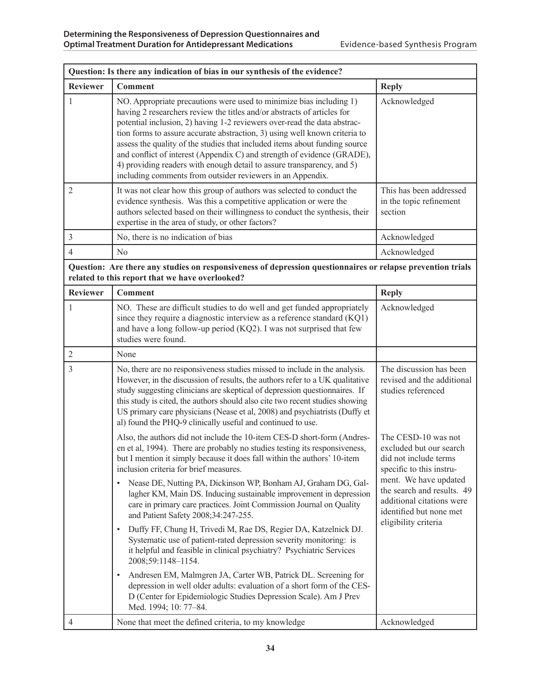| Question: Is there any indication of bias in our synthesis of the evidence? |                                                                                                                                                                                                                                                                                                                                                                                                                                                                                                                                                                                                                                                                                                                                                                                                                                                                                                                                                                                                                                                           |                                                                                                                                                                                                                                            |  |  |  |
|-----------------------------------------------------------------------------|-----------------------------------------------------------------------------------------------------------------------------------------------------------------------------------------------------------------------------------------------------------------------------------------------------------------------------------------------------------------------------------------------------------------------------------------------------------------------------------------------------------------------------------------------------------------------------------------------------------------------------------------------------------------------------------------------------------------------------------------------------------------------------------------------------------------------------------------------------------------------------------------------------------------------------------------------------------------------------------------------------------------------------------------------------------|--------------------------------------------------------------------------------------------------------------------------------------------------------------------------------------------------------------------------------------------|--|--|--|
| <b>Reviewer</b>                                                             | <b>Comment</b>                                                                                                                                                                                                                                                                                                                                                                                                                                                                                                                                                                                                                                                                                                                                                                                                                                                                                                                                                                                                                                            | <b>Reply</b>                                                                                                                                                                                                                               |  |  |  |
| 1                                                                           | NO. Appropriate precautions were used to minimize bias including 1)<br>having 2 researchers review the titles and/or abstracts of articles for<br>potential inclusion, 2) having 1-2 reviewers over-read the data abstrac-<br>tion forms to assure accurate abstraction, 3) using well known criteria to<br>assess the quality of the studies that included items about funding source<br>and conflict of interest (Appendix C) and strength of evidence (GRADE),<br>4) providing readers with enough detail to assure transparency, and 5)<br>including comments from outsider reviewers in an Appendix.                                                                                                                                                                                                                                                                                                                                                                                                                                                 | Acknowledged                                                                                                                                                                                                                               |  |  |  |
| 2                                                                           | It was not clear how this group of authors was selected to conduct the<br>evidence synthesis. Was this a competitive application or were the<br>authors selected based on their willingness to conduct the synthesis, their<br>expertise in the area of study, or other factors?                                                                                                                                                                                                                                                                                                                                                                                                                                                                                                                                                                                                                                                                                                                                                                          | This has been addressed<br>in the topic refinement<br>section                                                                                                                                                                              |  |  |  |
| 3                                                                           | No, there is no indication of bias                                                                                                                                                                                                                                                                                                                                                                                                                                                                                                                                                                                                                                                                                                                                                                                                                                                                                                                                                                                                                        | Acknowledged                                                                                                                                                                                                                               |  |  |  |
| $\overline{4}$                                                              | N <sub>0</sub>                                                                                                                                                                                                                                                                                                                                                                                                                                                                                                                                                                                                                                                                                                                                                                                                                                                                                                                                                                                                                                            | Acknowledged                                                                                                                                                                                                                               |  |  |  |
|                                                                             | Question: Are there any studies on responsiveness of depression questionnaires or relapse prevention trials<br>related to this report that we have overlooked?                                                                                                                                                                                                                                                                                                                                                                                                                                                                                                                                                                                                                                                                                                                                                                                                                                                                                            |                                                                                                                                                                                                                                            |  |  |  |
| <b>Reviewer</b>                                                             | <b>Comment</b>                                                                                                                                                                                                                                                                                                                                                                                                                                                                                                                                                                                                                                                                                                                                                                                                                                                                                                                                                                                                                                            | <b>Reply</b>                                                                                                                                                                                                                               |  |  |  |
| 1                                                                           | NO. These are difficult studies to do well and get funded appropriately<br>since they require a diagnostic interview as a reference standard (KQ1)<br>and have a long follow-up period (KQ2). I was not surprised that few<br>studies were found.                                                                                                                                                                                                                                                                                                                                                                                                                                                                                                                                                                                                                                                                                                                                                                                                         | Acknowledged                                                                                                                                                                                                                               |  |  |  |
| $\overline{c}$                                                              | None                                                                                                                                                                                                                                                                                                                                                                                                                                                                                                                                                                                                                                                                                                                                                                                                                                                                                                                                                                                                                                                      |                                                                                                                                                                                                                                            |  |  |  |
| 3                                                                           | No, there are no responsiveness studies missed to include in the analysis.<br>However, in the discussion of results, the authors refer to a UK qualitative<br>study suggesting clinicians are skeptical of depression questionnaires. If<br>this study is cited, the authors should also cite two recent studies showing<br>US primary care physicians (Nease et al, 2008) and psychiatrists (Duffy et<br>al) found the PHQ-9 clinically useful and continued to use.                                                                                                                                                                                                                                                                                                                                                                                                                                                                                                                                                                                     | The discussion has been<br>revised and the additional<br>studies referenced                                                                                                                                                                |  |  |  |
|                                                                             | Also, the authors did not include the 10-item CES-D short-form (Andres-<br>en et al, 1994). There are probably no studies testing its responsiveness,<br>but I mention it simply because it does fall within the authors' 10-item<br>inclusion criteria for brief measures.<br>Nease DE, Nutting PA, Dickinson WP, Bonham AJ, Graham DG, Gal-<br>$\bullet$<br>lagher KM, Main DS. Inducing sustainable improvement in depression<br>care in primary care practices. Joint Commission Journal on Quality<br>and Patient Safety 2008;34:247-255.<br>Duffy FF, Chung H, Trivedi M, Rae DS, Regier DA, Katzelnick DJ.<br>$\bullet$<br>Systematic use of patient-rated depression severity monitoring: is<br>it helpful and feasible in clinical psychiatry? Psychiatric Services<br>2008;59:1148-1154.<br>Andresen EM, Malmgren JA, Carter WB, Patrick DL. Screening for<br>$\bullet$<br>depression in well older adults: evaluation of a short form of the CES-<br>D (Center for Epidemiologic Studies Depression Scale). Am J Prev<br>Med. 1994; 10: 77-84. | The CESD-10 was not<br>excluded but our search<br>did not include terms<br>specific to this instru-<br>ment. We have updated<br>the search and results. 49<br>additional citations were<br>identified but none met<br>eligibility criteria |  |  |  |
| 4                                                                           | None that meet the defined criteria, to my knowledge                                                                                                                                                                                                                                                                                                                                                                                                                                                                                                                                                                                                                                                                                                                                                                                                                                                                                                                                                                                                      | Acknowledged                                                                                                                                                                                                                               |  |  |  |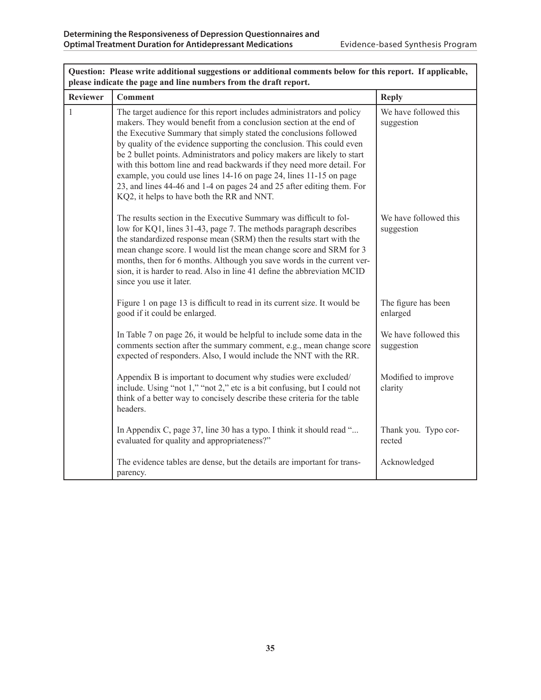| please indicate the page and line numbers from the draft report. |                                                                                                                                                                                                                                                                                                                                                                                                                                                                                                                                                                                                                                                |                                     |  |  |  |  |
|------------------------------------------------------------------|------------------------------------------------------------------------------------------------------------------------------------------------------------------------------------------------------------------------------------------------------------------------------------------------------------------------------------------------------------------------------------------------------------------------------------------------------------------------------------------------------------------------------------------------------------------------------------------------------------------------------------------------|-------------------------------------|--|--|--|--|
| <b>Reviewer</b>                                                  | <b>Comment</b>                                                                                                                                                                                                                                                                                                                                                                                                                                                                                                                                                                                                                                 | <b>Reply</b>                        |  |  |  |  |
| $\mathbf{1}$                                                     | The target audience for this report includes administrators and policy<br>makers. They would benefit from a conclusion section at the end of<br>the Executive Summary that simply stated the conclusions followed<br>by quality of the evidence supporting the conclusion. This could even<br>be 2 bullet points. Administrators and policy makers are likely to start<br>with this bottom line and read backwards if they need more detail. For<br>example, you could use lines 14-16 on page 24, lines 11-15 on page<br>23, and lines 44-46 and 1-4 on pages 24 and 25 after editing them. For<br>KQ2, it helps to have both the RR and NNT. | We have followed this<br>suggestion |  |  |  |  |
|                                                                  | The results section in the Executive Summary was difficult to fol-<br>low for KQ1, lines 31-43, page 7. The methods paragraph describes<br>the standardized response mean (SRM) then the results start with the<br>mean change score. I would list the mean change score and SRM for 3<br>months, then for 6 months. Although you save words in the current ver-<br>sion, it is harder to read. Also in line 41 define the abbreviation MCID<br>since you use it later.                                                                                                                                                                        | We have followed this<br>suggestion |  |  |  |  |
|                                                                  | Figure 1 on page 13 is difficult to read in its current size. It would be<br>good if it could be enlarged.                                                                                                                                                                                                                                                                                                                                                                                                                                                                                                                                     | The figure has been<br>enlarged     |  |  |  |  |
|                                                                  | In Table 7 on page 26, it would be helpful to include some data in the<br>comments section after the summary comment, e.g., mean change score<br>expected of responders. Also, I would include the NNT with the RR.                                                                                                                                                                                                                                                                                                                                                                                                                            | We have followed this<br>suggestion |  |  |  |  |
|                                                                  | Appendix B is important to document why studies were excluded/<br>include. Using "not 1," "not 2," etc is a bit confusing, but I could not<br>think of a better way to concisely describe these criteria for the table<br>headers.                                                                                                                                                                                                                                                                                                                                                                                                             | Modified to improve<br>clarity      |  |  |  |  |
|                                                                  | In Appendix C, page 37, line 30 has a typo. I think it should read "<br>evaluated for quality and appropriateness?"                                                                                                                                                                                                                                                                                                                                                                                                                                                                                                                            | Thank you. Typo cor-<br>rected      |  |  |  |  |
|                                                                  | The evidence tables are dense, but the details are important for trans-<br>parency.                                                                                                                                                                                                                                                                                                                                                                                                                                                                                                                                                            | Acknowledged                        |  |  |  |  |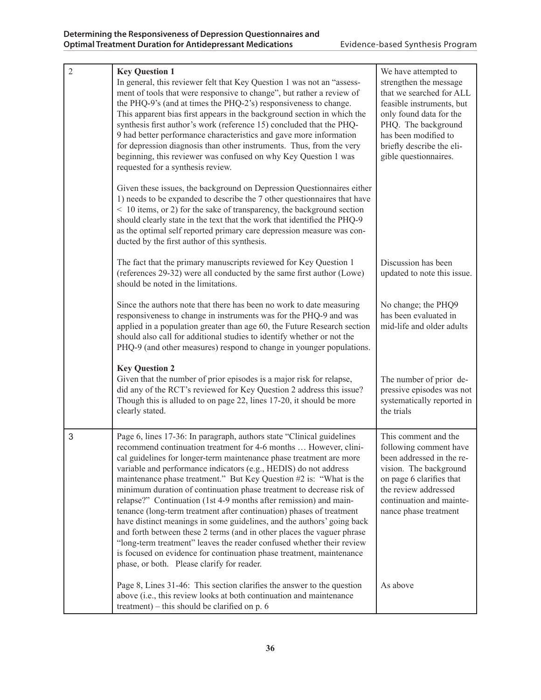| $\overline{2}$ | <b>Key Question 1</b>                                                                                                                                                                                                                                                                                                                                                                                                                                                                                                                                                                                                                                                                                                                                                                                                                                                                                                              | We have attempted to                                                                                                                                                                                            |
|----------------|------------------------------------------------------------------------------------------------------------------------------------------------------------------------------------------------------------------------------------------------------------------------------------------------------------------------------------------------------------------------------------------------------------------------------------------------------------------------------------------------------------------------------------------------------------------------------------------------------------------------------------------------------------------------------------------------------------------------------------------------------------------------------------------------------------------------------------------------------------------------------------------------------------------------------------|-----------------------------------------------------------------------------------------------------------------------------------------------------------------------------------------------------------------|
|                | In general, this reviewer felt that Key Question 1 was not an "assess-<br>ment of tools that were responsive to change", but rather a review of<br>the PHQ-9's (and at times the PHQ-2's) responsiveness to change.<br>This apparent bias first appears in the background section in which the<br>synthesis first author's work (reference 15) concluded that the PHQ-<br>9 had better performance characteristics and gave more information<br>for depression diagnosis than other instruments. Thus, from the very<br>beginning, this reviewer was confused on why Key Question 1 was<br>requested for a synthesis review.                                                                                                                                                                                                                                                                                                       | strengthen the message<br>that we searched for ALL<br>feasible instruments, but<br>only found data for the<br>PHQ. The background<br>has been modified to<br>briefly describe the eli-<br>gible questionnaires. |
|                | Given these issues, the background on Depression Questionnaires either<br>1) needs to be expanded to describe the 7 other questionnaires that have<br>< 10 items, or 2) for the sake of transparency, the background section<br>should clearly state in the text that the work that identified the PHQ-9<br>as the optimal self reported primary care depression measure was con-<br>ducted by the first author of this synthesis.                                                                                                                                                                                                                                                                                                                                                                                                                                                                                                 |                                                                                                                                                                                                                 |
|                | The fact that the primary manuscripts reviewed for Key Question 1<br>(references 29-32) were all conducted by the same first author (Lowe)<br>should be noted in the limitations.                                                                                                                                                                                                                                                                                                                                                                                                                                                                                                                                                                                                                                                                                                                                                  | Discussion has been<br>updated to note this issue.                                                                                                                                                              |
|                | Since the authors note that there has been no work to date measuring<br>responsiveness to change in instruments was for the PHQ-9 and was<br>applied in a population greater than age 60, the Future Research section<br>should also call for additional studies to identify whether or not the<br>PHQ-9 (and other measures) respond to change in younger populations.                                                                                                                                                                                                                                                                                                                                                                                                                                                                                                                                                            | No change; the PHQ9<br>has been evaluated in<br>mid-life and older adults                                                                                                                                       |
|                | <b>Key Question 2</b><br>Given that the number of prior episodes is a major risk for relapse,<br>did any of the RCT's reviewed for Key Question 2 address this issue?<br>Though this is alluded to on page 22, lines 17-20, it should be more<br>clearly stated.                                                                                                                                                                                                                                                                                                                                                                                                                                                                                                                                                                                                                                                                   | The number of prior de-<br>pressive episodes was not<br>systematically reported in<br>the trials                                                                                                                |
| 3              | Page 6, lines 17-36: In paragraph, authors state "Clinical guidelines<br>recommend continuation treatment for 4-6 months  However, clini-<br>cal guidelines for longer-term maintenance phase treatment are more<br>variable and performance indicators (e.g., HEDIS) do not address<br>maintenance phase treatment." But Key Question #2 is: "What is the<br>minimum duration of continuation phase treatment to decrease risk of<br>relapse?" Continuation (1st 4-9 months after remission) and main-<br>tenance (long-term treatment after continuation) phases of treatment<br>have distinct meanings in some guidelines, and the authors' going back<br>and forth between these 2 terms (and in other places the vaguer phrase<br>"long-term treatment" leaves the reader confused whether their review<br>is focused on evidence for continuation phase treatment, maintenance<br>phase, or both. Please clarify for reader. | This comment and the<br>following comment have<br>been addressed in the re-<br>vision. The background<br>on page 6 clarifies that<br>the review addressed<br>continuation and mainte-<br>nance phase treatment  |
|                | Page 8, Lines 31-46: This section clarifies the answer to the question<br>above (i.e., this review looks at both continuation and maintenance<br>treatment) – this should be clarified on $p. 6$                                                                                                                                                                                                                                                                                                                                                                                                                                                                                                                                                                                                                                                                                                                                   | As above                                                                                                                                                                                                        |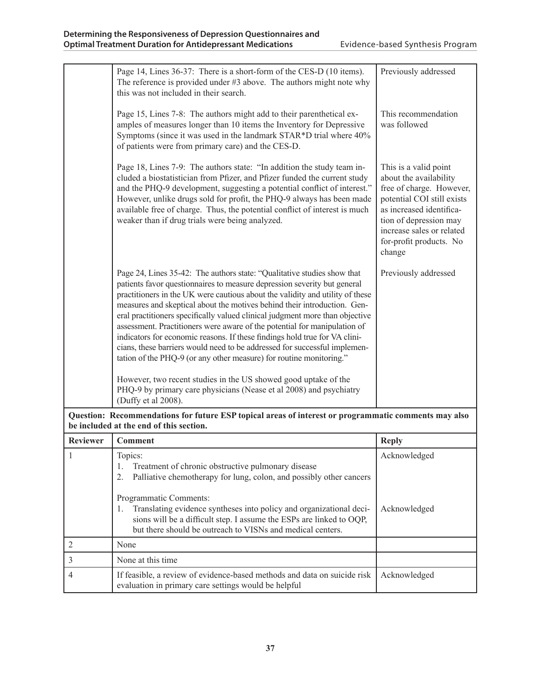|                | Page 14, Lines 36-37: There is a short-form of the CES-D (10 items).<br>The reference is provided under $#3$ above. The authors might note why<br>this was not included in their search.                                                                                                                                                                                                                                                                                                                                                                                                                                                                                                                                                                                           | Previously addressed                                                                                                                                                                                                              |
|----------------|------------------------------------------------------------------------------------------------------------------------------------------------------------------------------------------------------------------------------------------------------------------------------------------------------------------------------------------------------------------------------------------------------------------------------------------------------------------------------------------------------------------------------------------------------------------------------------------------------------------------------------------------------------------------------------------------------------------------------------------------------------------------------------|-----------------------------------------------------------------------------------------------------------------------------------------------------------------------------------------------------------------------------------|
|                | Page 15, Lines 7-8: The authors might add to their parenthetical ex-<br>amples of measures longer than 10 items the Inventory for Depressive<br>Symptoms (since it was used in the landmark STAR*D trial where 40%<br>of patients were from primary care) and the CES-D.                                                                                                                                                                                                                                                                                                                                                                                                                                                                                                           | This recommendation<br>was followed                                                                                                                                                                                               |
|                | Page 18, Lines 7-9: The authors state: "In addition the study team in-<br>cluded a biostatistician from Pfizer, and Pfizer funded the current study<br>and the PHQ-9 development, suggesting a potential conflict of interest."<br>However, unlike drugs sold for profit, the PHQ-9 always has been made<br>available free of charge. Thus, the potential conflict of interest is much<br>weaker than if drug trials were being analyzed.                                                                                                                                                                                                                                                                                                                                          | This is a valid point<br>about the availability<br>free of charge. However,<br>potential COI still exists<br>as increased identifica-<br>tion of depression may<br>increase sales or related<br>for-profit products. No<br>change |
|                | Page 24, Lines 35-42: The authors state: "Qualitative studies show that<br>patients favor questionnaires to measure depression severity but general<br>practitioners in the UK were cautious about the validity and utility of these<br>measures and skeptical about the motives behind their introduction. Gen-<br>eral practitioners specifically valued clinical judgment more than objective<br>assessment. Practitioners were aware of the potential for manipulation of<br>indicators for economic reasons. If these findings hold true for VA clini-<br>cians, these barriers would need to be addressed for successful implemen-<br>tation of the PHQ-9 (or any other measure) for routine monitoring."<br>However, two recent studies in the US showed good uptake of the | Previously addressed                                                                                                                                                                                                              |
|                | PHQ-9 by primary care physicians (Nease et al 2008) and psychiatry<br>(Duffy et al 2008).                                                                                                                                                                                                                                                                                                                                                                                                                                                                                                                                                                                                                                                                                          |                                                                                                                                                                                                                                   |
|                | Question: Recommendations for future ESP topical areas of interest or programmatic comments may also<br>be included at the end of this section.                                                                                                                                                                                                                                                                                                                                                                                                                                                                                                                                                                                                                                    |                                                                                                                                                                                                                                   |
| Reviewer       | <b>Comment</b>                                                                                                                                                                                                                                                                                                                                                                                                                                                                                                                                                                                                                                                                                                                                                                     | <b>Reply</b>                                                                                                                                                                                                                      |
| $\mathbf{1}$   | Topics:<br>Treatment of chronic obstructive pulmonary disease<br>1.<br>Palliative chemotherapy for lung, colon, and possibly other cancers<br>2.                                                                                                                                                                                                                                                                                                                                                                                                                                                                                                                                                                                                                                   | Acknowledged                                                                                                                                                                                                                      |
|                | Programmatic Comments:<br>Translating evidence syntheses into policy and organizational deci-<br>1.<br>sions will be a difficult step. I assume the ESPs are linked to OQP,<br>but there should be outreach to VISNs and medical centers.                                                                                                                                                                                                                                                                                                                                                                                                                                                                                                                                          | Acknowledged                                                                                                                                                                                                                      |
| $\overline{2}$ | None                                                                                                                                                                                                                                                                                                                                                                                                                                                                                                                                                                                                                                                                                                                                                                               |                                                                                                                                                                                                                                   |
| 3              | None at this time                                                                                                                                                                                                                                                                                                                                                                                                                                                                                                                                                                                                                                                                                                                                                                  |                                                                                                                                                                                                                                   |
| 4              | If feasible, a review of evidence-based methods and data on suicide risk<br>evaluation in primary care settings would be helpful                                                                                                                                                                                                                                                                                                                                                                                                                                                                                                                                                                                                                                                   | Acknowledged                                                                                                                                                                                                                      |

I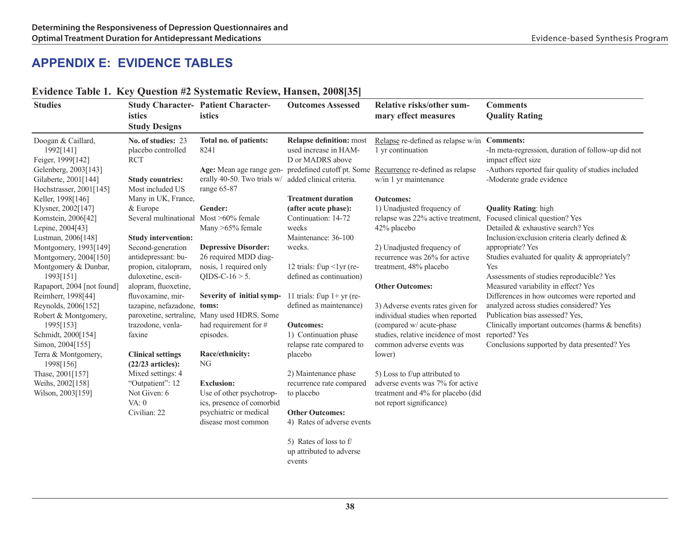## **Appendix E: Evidence Tables**

| <b>Studies</b>                                                               | istics<br><b>Study Designs</b>                         | <b>Study Character-Patient Character-</b><br>istics                 | <b>Outcomes Assessed</b>                                                     | Relative risks/other sum-<br>mary effect measures                                                                                                         | <b>Comments</b><br><b>Quality Rating</b>                                                                                       |
|------------------------------------------------------------------------------|--------------------------------------------------------|---------------------------------------------------------------------|------------------------------------------------------------------------------|-----------------------------------------------------------------------------------------------------------------------------------------------------------|--------------------------------------------------------------------------------------------------------------------------------|
| Doogan & Caillard,<br>1992[141]<br>Feiger, 1999[142]<br>Gelenberg, 2003[143] | No. of studies: 23<br>placebo controlled<br><b>RCT</b> | Total no. of patients:<br>8241                                      | <b>Relapse definition:</b> most<br>used increase in HAM-<br>D or MADRS above | Relapse re-defined as relapse w/in Comments:<br>1 yr continuation<br>Age: Mean age range gen- predefined cutoff pt. Some Recurrence re-defined as relapse | -In meta-regression, duration of follow-up did not<br>impact effect size<br>-Authors reported fair quality of studies included |
| Gilaberte, 2001[144]<br>Hochstrasser, 2001[145]                              | <b>Study countries:</b><br>Most included US            | erally 40-50. Two trials w/ added clinical criteria.<br>range 65-87 |                                                                              | w/in 1 yr maintenance                                                                                                                                     | -Moderate grade evidence                                                                                                       |
| Keller, 1998[146]                                                            | Many in UK, France,                                    |                                                                     | <b>Treatment duration</b>                                                    | <b>Outcomes:</b>                                                                                                                                          |                                                                                                                                |
| Klysner, 2002[147]                                                           | & Europe                                               | Gender:                                                             | (after acute phase):                                                         | 1) Unadjusted frequency of                                                                                                                                | <b>Quality Rating: high</b>                                                                                                    |
| Kornstein, 2006[42]<br>Lepine, 2004[43]                                      | Several multinational                                  | Most $>60\%$ female<br>Many >65% female                             | Continuation: 14-72<br>weeks                                                 | relapse was 22% active treatment,<br>42% placebo                                                                                                          | Focused clinical question? Yes<br>Detailed & exhaustive search? Yes                                                            |
| Lustman, 2006[148]                                                           | <b>Study intervention:</b>                             |                                                                     | Maintenance: 36-100                                                          |                                                                                                                                                           | Inclusion/exclusion criteria clearly defined &                                                                                 |
| Montgomery, 1993[149]                                                        | Second-generation                                      | <b>Depressive Disorder:</b>                                         | weeks.                                                                       | 2) Unadjusted frequency of                                                                                                                                | appropriate? Yes                                                                                                               |
| Montgomery, 2004[150]                                                        | antidepressant: bu-                                    | 26 required MDD diag-                                               |                                                                              | recurrence was 26% for active                                                                                                                             | Studies evaluated for quality & appropriately?                                                                                 |
| Montgomery & Dunbar,                                                         | propion, citalopram,                                   | nosis, 1 required only                                              | 12 trials: $f/\psi$ <1yr (re-                                                | treatment, 48% placebo                                                                                                                                    | <b>Yes</b>                                                                                                                     |
| 1993[151]                                                                    | duloxetine, escit-                                     | QIDS-C-16 $>$ 5.                                                    | defined as continuation)                                                     |                                                                                                                                                           | Assessments of studies reproducible? Yes                                                                                       |
| Rapaport, 2004 [not found]                                                   | alopram, fluoxetine,                                   |                                                                     |                                                                              | <b>Other Outcomes:</b>                                                                                                                                    | Measured variability in effect? Yes                                                                                            |
| Reimherr, 1998[44]                                                           | fluvoxamine, mir-                                      | Severity of initial symp-                                           | 11 trials: $f/\psi$ 1+ yr (re-                                               |                                                                                                                                                           | Differences in how outcomes were reported and                                                                                  |
| Reynolds, 2006[152]                                                          | tazapine, nefazadone,                                  | toms:                                                               | defined as maintenance)                                                      | 3) Adverse events rates given for                                                                                                                         | analyzed across studies considered? Yes                                                                                        |
| Robert & Montgomery,                                                         | paroxetine, sertraline,                                | Many used HDRS. Some                                                |                                                                              | individual studies when reported                                                                                                                          | Publication bias assessed? Yes,                                                                                                |
| 1995[153]                                                                    | trazodone, venla-                                      | had requirement for #                                               | <b>Outcomes:</b>                                                             | (compared w/ acute-phase                                                                                                                                  | Clinically important outcomes (harms & benefits)                                                                               |
| Schmidt, 2000[154]                                                           | faxine                                                 | episodes.                                                           | 1) Continuation phase                                                        | studies, relative incidence of most reported? Yes                                                                                                         |                                                                                                                                |
| Simon, 2004[155]                                                             |                                                        |                                                                     | relapse rate compared to                                                     | common adverse events was                                                                                                                                 | Conclusions supported by data presented? Yes                                                                                   |
| Terra & Montgomery,                                                          | <b>Clinical settings</b>                               | Race/ethnicity:<br>NG                                               | placebo                                                                      | lower)                                                                                                                                                    |                                                                                                                                |
| 1998[156]                                                                    | $(22/23$ articles):                                    |                                                                     |                                                                              |                                                                                                                                                           |                                                                                                                                |
| Thase, 2001[157]                                                             | Mixed settings: 4<br>"Outpatient": 12                  | <b>Exclusion:</b>                                                   | 2) Maintenance phase                                                         | 5) Loss to f/up attributed to<br>adverse events was 7% for active                                                                                         |                                                                                                                                |
| Weihs, 2002[158]<br>Wilson, 2003[159]                                        | Not Given: 6                                           | Use of other psychotrop-                                            | recurrence rate compared<br>to placebo                                       | treatment and 4% for placebo (did                                                                                                                         |                                                                                                                                |
|                                                                              | VA: 0                                                  | ics, presence of comorbid                                           |                                                                              | not report significance)                                                                                                                                  |                                                                                                                                |
|                                                                              | Civilian: 22                                           | psychiatric or medical                                              | <b>Other Outcomes:</b>                                                       |                                                                                                                                                           |                                                                                                                                |
|                                                                              |                                                        | disease most common                                                 | 4) Rates of adverse events                                                   |                                                                                                                                                           |                                                                                                                                |
|                                                                              |                                                        |                                                                     | 5) Rates of loss to f<br>up attributed to adverse                            |                                                                                                                                                           |                                                                                                                                |

#### **Evidence Table 1. Key Question #2 Systematic Review, Hansen, 2008[35]**

events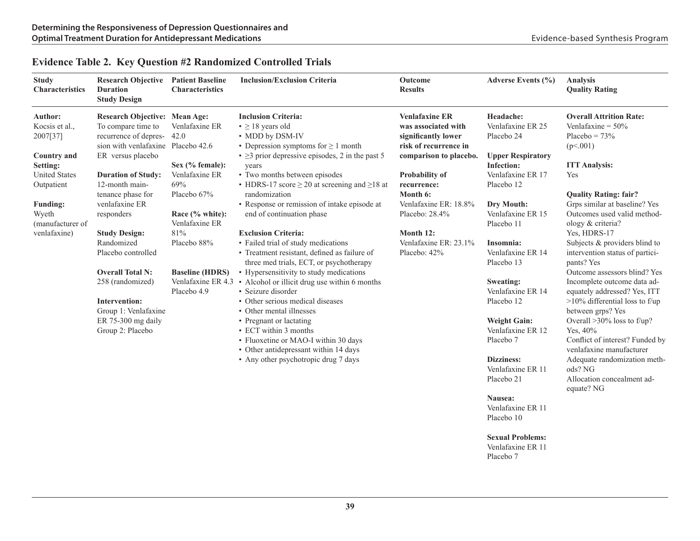| <b>Study</b><br><b>Characteristics</b> | <b>Research Objective</b><br><b>Duration</b><br><b>Study Design</b> | <b>Patient Baseline</b><br><b>Characteristics</b> | <b>Inclusion/Exclusion Criteria</b>                         | Outcome<br><b>Results</b> | Adverse Events (%)       | <b>Analysis</b><br><b>Quality Rating</b> |
|----------------------------------------|---------------------------------------------------------------------|---------------------------------------------------|-------------------------------------------------------------|---------------------------|--------------------------|------------------------------------------|
| <b>Author:</b>                         | <b>Research Objective: Mean Age:</b>                                |                                                   | <b>Inclusion Criteria:</b>                                  | <b>Venlafaxine ER</b>     | Headache:                | <b>Overall Attrition Rate:</b>           |
| Kocsis et al.,                         | To compare time to                                                  | Venlafaxine ER                                    | $\bullet \geq 18$ years old                                 | was associated with       | Venlafaxine ER 25        | Venlafaxine = $50\%$                     |
| 2007[37]                               | recurrence of depres-                                               | 42.0                                              | • MDD by DSM-IV                                             | significantly lower       | Placebo 24               | Placebo = $73%$                          |
|                                        | sion with venlafaxine Placebo 42.6                                  |                                                   | • Depression symptoms for $\geq 1$ month                    | risk of recurrence in     |                          | (p<.001)                                 |
| <b>Country and</b>                     | ER versus placebo                                                   |                                                   | $\cdot$ $\geq$ 3 prior depressive episodes, 2 in the past 5 | comparison to placebo.    | <b>Upper Respiratory</b> |                                          |
| Setting:                               |                                                                     | Sex $(\%$ female):                                | years                                                       |                           | <b>Infection:</b>        | <b>ITT Analysis:</b>                     |
| <b>United States</b>                   | <b>Duration of Study:</b>                                           | Venlafaxine ER                                    | • Two months between episodes                               | Probability of            | Venlafaxine ER 17        | Yes                                      |
| Outpatient                             | 12-month main-                                                      | 69%                                               | • HDRS-17 score $\geq$ 20 at screening and $\geq$ 18 at     | recurrence:               | Placebo 12               |                                          |
|                                        | tenance phase for                                                   | Placebo 67%                                       | randomization                                               | Month 6:                  |                          | <b>Quality Rating: fair?</b>             |
| <b>Funding:</b>                        | venlafaxine ER                                                      |                                                   | • Response or remission of intake episode at                | Venlafaxine ER: 18.8%     | Dry Mouth:               | Grps similar at baseline? Yes            |
| Wyeth                                  | responders                                                          | Race $(\%$ white):                                | end of continuation phase                                   | Placebo: 28.4%            | Venlafaxine ER 15        | Outcomes used valid method-              |
| (manufacturer of                       |                                                                     | Venlafaxine ER                                    |                                                             |                           | Placebo 11               | ology & criteria?                        |
| venlafaxine)                           | <b>Study Design:</b>                                                | 81%                                               | <b>Exclusion Criteria:</b>                                  | Month 12:                 |                          | Yes, HDRS-17                             |
|                                        | Randomized                                                          | Placebo 88%                                       | • Failed trial of study medications                         | Venlafaxine ER: 23.1%     | Insomnia:                | Subjects & providers blind to            |
|                                        | Placebo controlled                                                  |                                                   | • Treatment resistant, defined as failure of                | Placebo: 42%              | Venlafaxine ER 14        | intervention status of partici-          |
|                                        |                                                                     |                                                   | three med trials, ECT, or psychotherapy                     |                           | Placebo 13               | pants? Yes                               |
|                                        | <b>Overall Total N:</b>                                             | <b>Baseline (HDRS)</b>                            | • Hypersensitivity to study medications                     |                           |                          | Outcome assessors blind? Yes             |
|                                        | 258 (randomized)                                                    | Venlafaxine ER 4.3                                | • Alcohol or illicit drug use within 6 months               |                           | Sweating:                | Incomplete outcome data ad-              |
|                                        |                                                                     | Placebo 4.9                                       | · Seizure disorder                                          |                           | Venlafaxine ER 14        | equately addressed? Yes, ITT             |
|                                        | Intervention:                                                       |                                                   | • Other serious medical diseases                            |                           | Placebo 12               | $>10\%$ differential loss to f/up        |
|                                        | Group 1: Venlafaxine                                                |                                                   | • Other mental illnesses                                    |                           |                          | between grps? Yes                        |
|                                        | ER 75-300 mg daily                                                  |                                                   | • Pregnant or lactating                                     |                           | <b>Weight Gain:</b>      | Overall $>30\%$ loss to f/up?            |
|                                        | Group 2: Placebo                                                    |                                                   | • ECT within 3 months                                       |                           | Venlafaxine ER 12        | Yes, 40%                                 |
|                                        |                                                                     |                                                   | · Fluoxetine or MAO-I within 30 days                        |                           | Placebo <sub>7</sub>     | Conflict of interest? Funded by          |
|                                        |                                                                     |                                                   | • Other antidepressant within 14 days                       |                           |                          | venlafaxine manufacturer                 |
|                                        |                                                                     |                                                   | • Any other psychotropic drug 7 days                        |                           | Dizziness:               | Adequate randomization meth-             |
|                                        |                                                                     |                                                   |                                                             |                           | Venlafaxine ER 11        | ods? NG                                  |
|                                        |                                                                     |                                                   |                                                             |                           | Placebo 21               | Allocation concealment ad-<br>equate? NG |
|                                        |                                                                     |                                                   |                                                             |                           | Nausea:                  |                                          |
|                                        |                                                                     |                                                   |                                                             |                           | Venlafaxine ER 11        |                                          |
|                                        |                                                                     |                                                   |                                                             |                           | Placebo 10               |                                          |
|                                        |                                                                     |                                                   |                                                             |                           | <b>Sexual Problems:</b>  |                                          |
|                                        |                                                                     |                                                   |                                                             |                           | Venlafaxine ER 11        |                                          |

#### **Evidence Table 2. Key Question #2 Randomized Controlled Trials**

**39**

Placebo 7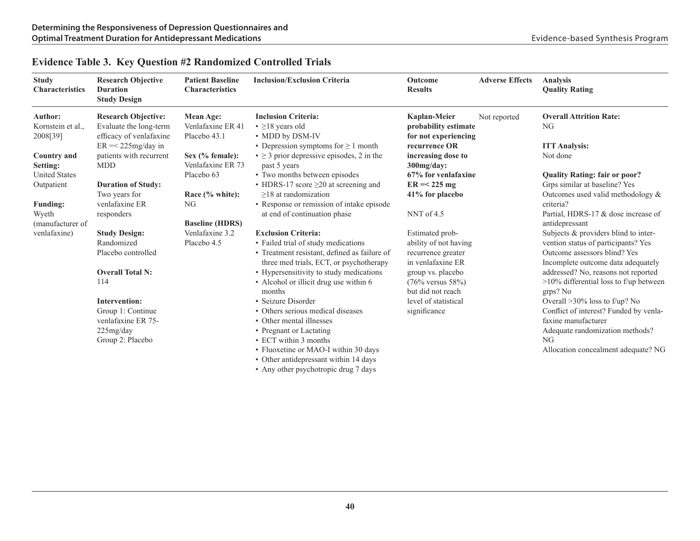| <b>Study</b><br><b>Characteristics</b> | <b>Research Objective</b><br><b>Duration</b><br><b>Study Design</b> | <b>Patient Baseline</b><br><b>Characteristics</b> | <b>Inclusion/Exclusion Criteria</b>                                                     | Outcome<br><b>Results</b>               | <b>Adverse Effects</b> | <b>Analysis</b><br><b>Quality Rating</b>                           |
|----------------------------------------|---------------------------------------------------------------------|---------------------------------------------------|-----------------------------------------------------------------------------------------|-----------------------------------------|------------------------|--------------------------------------------------------------------|
| Author:                                | <b>Research Objective:</b>                                          | Mean Age:                                         | <b>Inclusion Criteria:</b>                                                              | <b>Kaplan-Meier</b>                     | Not reported           | <b>Overall Attrition Rate:</b>                                     |
| Kornstein et al.,                      | Evaluate the long-term                                              | Venlafaxine ER 41                                 | $\cdot$ $\geq$ 18 years old                                                             | probability estimate                    |                        | NG                                                                 |
| 2008[39]                               | efficacy of venlafaxine                                             | Placebo 43.1                                      | • MDD by DSM-IV                                                                         | for not experiencing                    |                        |                                                                    |
|                                        | $ER = < 225mg/day$ in                                               |                                                   | • Depression symptoms for $\geq 1$ month                                                | recurrence OR                           |                        | <b>ITT Analysis:</b>                                               |
| <b>Country and</b>                     | patients with recurrent                                             | Sex $(\%$ female):                                | $\bullet \geq 3$ prior depressive episodes, 2 in the                                    | increasing dose to                      |                        | Not done                                                           |
| Setting:                               | <b>MDD</b>                                                          | Venlafaxine ER 73                                 | past 5 years                                                                            | $300$ mg/day:                           |                        |                                                                    |
| <b>United States</b>                   |                                                                     | Placebo 63                                        | • Two months between episodes                                                           | 67% for venlafaxine                     |                        | <b>Quality Rating: fair or poor?</b>                               |
| Outpatient                             | <b>Duration of Study:</b>                                           |                                                   | • HDRS-17 score $\geq$ 20 at screening and                                              | $ER = 225 mg$                           |                        | Grps similar at baseline? Yes                                      |
|                                        | Two years for                                                       | Race (% white):                                   | $>18$ at randomization                                                                  | 41% for placebo                         |                        | Outcomes used valid methodology $\&$                               |
| <b>Funding:</b>                        | venlafaxine ER                                                      | NG                                                | • Response or remission of intake episode                                               |                                         |                        | criteria?                                                          |
| Wyeth                                  | responders                                                          |                                                   | at end of continuation phase                                                            | NNT of 4.5                              |                        | Partial, HDRS-17 & dose increase of                                |
| (manufacturer of                       |                                                                     | <b>Baseline (HDRS)</b>                            |                                                                                         |                                         |                        | antidepressant                                                     |
| venlafaxine)                           | <b>Study Design:</b>                                                | Venlafaxine 3.2                                   | <b>Exclusion Criteria:</b>                                                              | Estimated prob-                         |                        | Subjects & providers blind to inter-                               |
|                                        | Randomized                                                          | Placebo 4.5                                       | • Failed trial of study medications                                                     | ability of not having                   |                        | vention status of participants? Yes                                |
|                                        | Placebo controlled                                                  |                                                   | • Treatment resistant, defined as failure of<br>three med trials, ECT, or psychotherapy | recurrence greater<br>in venlafaxine ER |                        | Outcome assessors blind? Yes<br>Incomplete outcome data adequately |
|                                        | <b>Overall Total N:</b>                                             |                                                   | • Hypersensitivity to study medications                                                 | group vs. placebo                       |                        | addressed? No, reasons not reported                                |
|                                        | 114                                                                 |                                                   | • Alcohol or illicit drug use within 6                                                  | $(76\% \text{ versus } 58\%)$           |                        | $>10\%$ differential loss to f/up between                          |
|                                        |                                                                     |                                                   | months                                                                                  | but did not reach                       |                        | grps? No                                                           |
|                                        | <b>Intervention:</b>                                                |                                                   | • Seizure Disorder                                                                      | level of statistical                    |                        | Overall $>30\%$ loss to f/up? No                                   |
|                                        | Group 1: Continue                                                   |                                                   | • Others serious medical diseases                                                       | significance                            |                        | Conflict of interest? Funded by venla-                             |
|                                        | venlafaxine ER 75-                                                  |                                                   | • Other mental illnesses                                                                |                                         |                        | faxine manufacturer                                                |
|                                        | 225mg/day                                                           |                                                   | • Pregnant or Lactating                                                                 |                                         |                        | Adequate randomization methods?                                    |
|                                        | Group 2: Placebo                                                    |                                                   | • ECT within 3 months                                                                   |                                         |                        | NG                                                                 |
|                                        |                                                                     |                                                   | • Fluoxetine or MAO-I within 30 days                                                    |                                         |                        | Allocation concealment adequate? NG                                |
|                                        |                                                                     |                                                   | • Other antidepressant within 14 days                                                   |                                         |                        |                                                                    |
|                                        |                                                                     |                                                   | • Any other psychotropic drug 7 days                                                    |                                         |                        |                                                                    |

#### **Evidence Table 3. Key Question #2 Randomized Controlled Trials**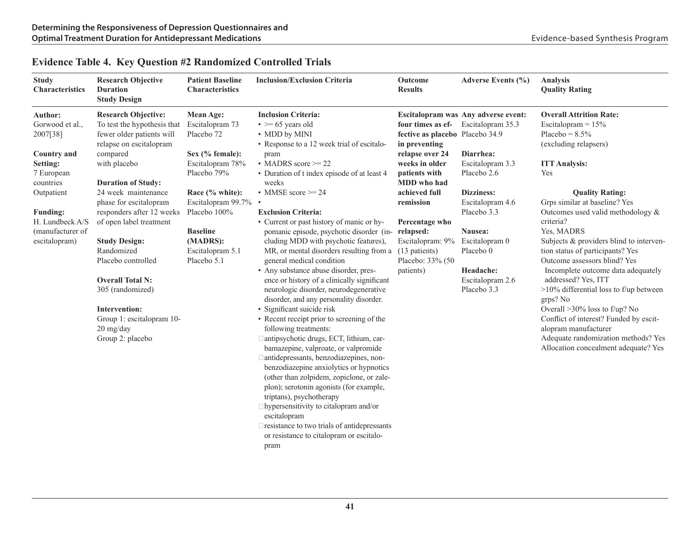| <b>Study</b><br><b>Characteristics</b>                                                                                                                                                       | <b>Research Objective</b><br><b>Duration</b><br><b>Study Design</b>                                                                                                                                                                                                                                                                                                                                                                                                                  | <b>Patient Baseline</b><br><b>Characteristics</b>                                                                                                                                                                                             | <b>Inclusion/Exclusion Criteria</b>                                                                                                                                                                                                                                                                                                                                                                                                                                                                                                                                                                                                                                                                                                                                                                                                                                                                                                                                                                                                                                                                                                                                                                                                                   | Outcome<br><b>Results</b>                                                                                                                                                                                                                                        | Adverse Events (%)                                                                                                                                                                                                                                                    | <b>Analysis</b><br><b>Quality Rating</b>                                                                                                                                                                                                                                                                                                                                                                                                                                                                                                                                                                                                                                           |
|----------------------------------------------------------------------------------------------------------------------------------------------------------------------------------------------|--------------------------------------------------------------------------------------------------------------------------------------------------------------------------------------------------------------------------------------------------------------------------------------------------------------------------------------------------------------------------------------------------------------------------------------------------------------------------------------|-----------------------------------------------------------------------------------------------------------------------------------------------------------------------------------------------------------------------------------------------|-------------------------------------------------------------------------------------------------------------------------------------------------------------------------------------------------------------------------------------------------------------------------------------------------------------------------------------------------------------------------------------------------------------------------------------------------------------------------------------------------------------------------------------------------------------------------------------------------------------------------------------------------------------------------------------------------------------------------------------------------------------------------------------------------------------------------------------------------------------------------------------------------------------------------------------------------------------------------------------------------------------------------------------------------------------------------------------------------------------------------------------------------------------------------------------------------------------------------------------------------------|------------------------------------------------------------------------------------------------------------------------------------------------------------------------------------------------------------------------------------------------------------------|-----------------------------------------------------------------------------------------------------------------------------------------------------------------------------------------------------------------------------------------------------------------------|------------------------------------------------------------------------------------------------------------------------------------------------------------------------------------------------------------------------------------------------------------------------------------------------------------------------------------------------------------------------------------------------------------------------------------------------------------------------------------------------------------------------------------------------------------------------------------------------------------------------------------------------------------------------------------|
| Author:<br>Gorwood et al.,<br>2007[38]<br><b>Country and</b><br>Setting:<br>7 European<br>countries<br>Outpatient<br><b>Funding:</b><br>H. Lundbeck A/S<br>(manufacturer of<br>escitalopram) | <b>Research Objective:</b><br>To test the hypothesis that<br>fewer older patients will<br>relapse on escitalopram<br>compared<br>with placebo<br><b>Duration of Study:</b><br>24 week maintenance<br>phase for escitalopram<br>responders after 12 weeks<br>of open label treatment<br><b>Study Design:</b><br>Randomized<br>Placebo controlled<br><b>Overall Total N:</b><br>305 (randomized)<br><b>Intervention:</b><br>Group 1: escitalopram 10-<br>20 mg/day<br>Group 2: placebo | <b>Mean Age:</b><br>Escitalopram 73<br>Placebo <sub>72</sub><br>Sex (% female):<br>Escitalopram 78%<br>Placebo 79%<br>Race (% white):<br>Escitalopram 99.7%<br>Placebo 100%<br><b>Baseline</b><br>(MADRS):<br>Escitalopram 5.1<br>Placebo 5.1 | <b>Inclusion Criteria:</b><br>$\bullet \ge 65$ years old<br>• MDD by MINI<br>• Response to a 12 week trial of escitalo-<br>pram<br>• MADRS score $\geq$ 22<br>• Duration of t index episode of at least 4<br>weeks<br>• MMSE score $\geq 24$<br><b>Exclusion Criteria:</b><br>• Current or past history of manic or hy-<br>pomanic episode, psychotic disorder (in-relapsed:<br>cluding MDD with psychotic features),<br>MR, or mental disorders resulting from a<br>general medical condition<br>• Any substance abuse disorder, pres-<br>ence or history of a clinically significant<br>neurologic disorder, neurodegenerative<br>disorder, and any personality disorder.<br>· Significant suicide risk<br>• Recent receipt prior to screening of the<br>following treatments:<br>□ antipsychotic drugs, ECT, lithium, car-<br>bamazepine, valproate, or valpromide<br>□ antidepressants, benzodiazepines, non-<br>benzodiazepine anxiolytics or hypnotics<br>(other than zolpidem, zopiclone, or zale-<br>plon); serotonin agonists (for example,<br>triptans), psychotherapy<br>$\Box$ hypersensitivity to citalopram and/or<br>escitalopram<br>□ resistance to two trials of antidepressants<br>or resistance to citalopram or escitalo-<br>pram | four times as ef-<br>fective as placebo Placebo 34.9<br>in preventing<br>relapse over 24<br>weeks in older<br>patients with<br>MDD who had<br>achieved full<br>remission<br>Percentage who<br>Escitalopram: 9%<br>(13 patients)<br>Placebo: 33% (50<br>patients) | Escitalopram was Any adverse event:<br>Escitalopram 35.3<br>Diarrhea:<br>Escitalopram 3.3<br>Placebo 2.6<br><b>Dizziness:</b><br>Escitalopram 4.6<br>Placebo 3.3<br>Nausea:<br>Escitalopram 0<br>Placebo <sub>0</sub><br>Headache:<br>Escitalopram 2.6<br>Placebo 3.3 | <b>Overall Attrition Rate:</b><br>Escitalopram = $15%$<br>Placebo = $8.5\%$<br>(excluding relapsers)<br><b>ITT Analysis:</b><br>Yes<br><b>Quality Rating:</b><br>Grps similar at baseline? Yes<br>Outcomes used valid methodology &<br>criteria?<br>Yes, MADRS<br>Subjects & providers blind to interven-<br>tion status of participants? Yes<br>Outcome assessors blind? Yes<br>Incomplete outcome data adequately<br>addressed? Yes, ITT<br>>10% differential loss to f/up between<br>grps? No<br>Overall >30% loss to f/up? No<br>Conflict of interest? Funded by escit-<br>alopram manufacturer<br>Adequate randomization methods? Yes<br>Allocation concealment adequate? Yes |

#### **Evidence Table 4. Key Question #2 Randomized Controlled Trials**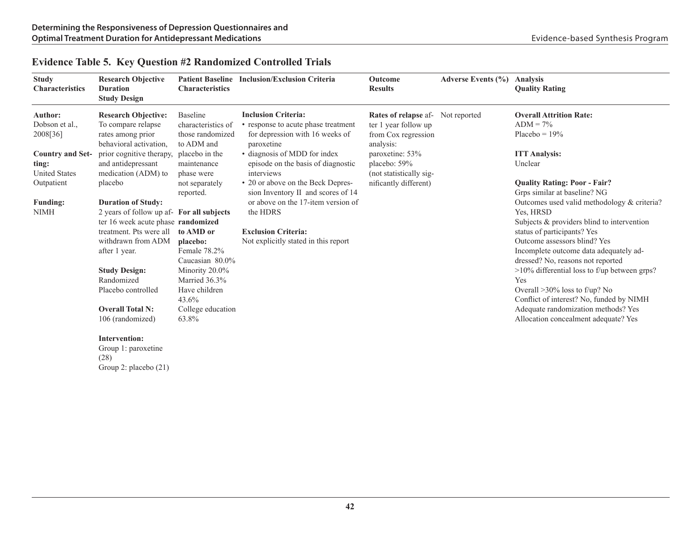| <b>Study</b><br><b>Characteristics</b>                                                                                                            | <b>Research Objective</b><br><b>Duration</b><br><b>Study Design</b>                                                                                                                                                                                                                                                                                                                                                                                                              | <b>Characteristics</b>                                                                                                                                                                                                                                                                                       | Patient Baseline Inclusion/Exclusion Criteria                                                                                                                                                                                                                                                                                                                                                             | <b>Outcome</b><br><b>Results</b>                                                                                                                                                     | Adverse Events (%) | <b>Analysis</b><br><b>Quality Rating</b>                                                                                                                                                                                                                                                                                                                                                                                                                                                                                                                                                                                                                       |
|---------------------------------------------------------------------------------------------------------------------------------------------------|----------------------------------------------------------------------------------------------------------------------------------------------------------------------------------------------------------------------------------------------------------------------------------------------------------------------------------------------------------------------------------------------------------------------------------------------------------------------------------|--------------------------------------------------------------------------------------------------------------------------------------------------------------------------------------------------------------------------------------------------------------------------------------------------------------|-----------------------------------------------------------------------------------------------------------------------------------------------------------------------------------------------------------------------------------------------------------------------------------------------------------------------------------------------------------------------------------------------------------|--------------------------------------------------------------------------------------------------------------------------------------------------------------------------------------|--------------------|----------------------------------------------------------------------------------------------------------------------------------------------------------------------------------------------------------------------------------------------------------------------------------------------------------------------------------------------------------------------------------------------------------------------------------------------------------------------------------------------------------------------------------------------------------------------------------------------------------------------------------------------------------------|
| Author:<br>Dobson et al.,<br>2008[36]<br><b>Country and Set-</b><br>ting:<br><b>United States</b><br>Outpatient<br><b>Funding:</b><br><b>NIMH</b> | <b>Research Objective:</b><br>To compare relapse<br>rates among prior<br>behavioral activation,<br>prior cognitive therapy,<br>and antidepressant<br>medication (ADM) to<br>placebo<br><b>Duration of Study:</b><br>2 years of follow up af- For all subjects<br>ter 16 week acute phase randomized<br>treatment. Pts were all<br>withdrawn from ADM<br>after 1 year.<br><b>Study Design:</b><br>Randomized<br>Placebo controlled<br><b>Overall Total N:</b><br>106 (randomized) | <b>Baseline</b><br>characteristics of<br>those randomized<br>to ADM and<br>placebo in the<br>maintenance<br>phase were<br>not separately<br>reported.<br>to AMD or<br>placebo:<br>Female 78.2%<br>Caucasian 80.0%<br>Minority 20.0%<br>Married 36.3%<br>Have children<br>43.6%<br>College education<br>63.8% | <b>Inclusion Criteria:</b><br>• response to acute phase treatment<br>for depression with 16 weeks of<br>paroxetine<br>• diagnosis of MDD for index<br>episode on the basis of diagnostic<br>interviews<br>• 20 or above on the Beck Depres-<br>sion Inventory II and scores of 14<br>or above on the 17-item version of<br>the HDRS<br><b>Exclusion Criteria:</b><br>Not explicitly stated in this report | Rates of relapse af- Not reported<br>ter 1 year follow up<br>from Cox regression<br>analysis:<br>paroxetine: 53%<br>placebo: 59%<br>(not statistically sig-<br>nificantly different) |                    | <b>Overall Attrition Rate:</b><br>$ADM = 7\%$<br>Placebo = $19\%$<br><b>ITT Analysis:</b><br>Unclear<br><b>Quality Rating: Poor - Fair?</b><br>Grps similar at baseline? NG<br>Outcomes used valid methodology & criteria?<br>Yes, HRSD<br>Subjects $&$ providers blind to intervention<br>status of participants? Yes<br>Outcome assessors blind? Yes<br>Incomplete outcome data adequately ad-<br>dressed? No, reasons not reported<br>$>10\%$ differential loss to f/up between grps?<br>Yes<br>Overall $>30\%$ loss to f/up? No<br>Conflict of interest? No, funded by NIMH<br>Adequate randomization methods? Yes<br>Allocation concealment adequate? Yes |
|                                                                                                                                                   | Intervention:                                                                                                                                                                                                                                                                                                                                                                                                                                                                    |                                                                                                                                                                                                                                                                                                              |                                                                                                                                                                                                                                                                                                                                                                                                           |                                                                                                                                                                                      |                    |                                                                                                                                                                                                                                                                                                                                                                                                                                                                                                                                                                                                                                                                |

## **Evidence Table 5. Key Question #2 Randomized Controlled Trials**

Group 1: paroxetine (28) Group 2: placebo (21)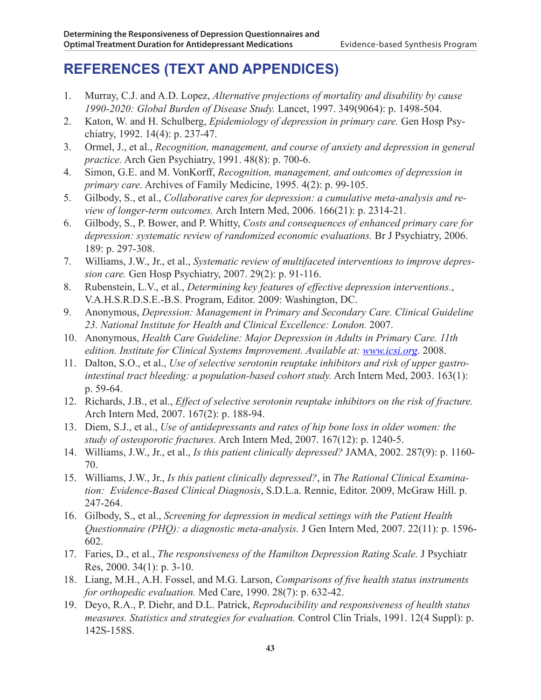# **REFERENCES (TEXT AND APPENDICES)**

- 1. Murray, C.J. and A.D. Lopez, *Alternative projections of mortality and disability by cause 1990-2020: Global Burden of Disease Study.* Lancet, 1997. 349(9064): p. 1498-504.
- 2. Katon, W. and H. Schulberg, *Epidemiology of depression in primary care.* Gen Hosp Psychiatry, 1992. 14(4): p. 237-47.
- 3. Ormel, J., et al., *Recognition, management, and course of anxiety and depression in general practice.* Arch Gen Psychiatry, 1991. 48(8): p. 700-6.
- 4. Simon, G.E. and M. VonKorff, *Recognition, management, and outcomes of depression in primary care.* Archives of Family Medicine, 1995. 4(2): p. 99-105.
- 5. Gilbody, S., et al., *Collaborative cares for depression: a cumulative meta-analysis and review of longer-term outcomes.* Arch Intern Med, 2006. 166(21): p. 2314-21.
- 6. Gilbody, S., P. Bower, and P. Whitty, *Costs and consequences of enhanced primary care for depression: systematic review of randomized economic evaluations.* Br J Psychiatry, 2006. 189: p. 297-308.
- 7. Williams, J.W., Jr., et al., *Systematic review of multifaceted interventions to improve depression care.* Gen Hosp Psychiatry, 2007. 29(2): p. 91-116.
- 8. Rubenstein, L.V., et al., *Determining key features of effective depression interventions.*, V.A.H.S.R.D.S.E.-B.S. Program, Editor. 2009: Washington, DC.
- 9. Anonymous, *Depression: Management in Primary and Secondary Care. Clinical Guideline 23. National Institute for Health and Clinical Excellence: London.* 2007.
- 10. Anonymous, *Health Care Guideline: Major Depression in Adults in Primary Care. 11th edition. Institute for Clinical Systems Improvement. Available at: www.icsi.org*. 2008.
- 11. Dalton, S.O., et al., *Use of selective serotonin reuptake inhibitors and risk of upper gastrointestinal tract bleeding: a population-based cohort study.* Arch Intern Med, 2003. 163(1): p. 59-64.
- 12. Richards, J.B., et al., *Effect of selective serotonin reuptake inhibitors on the risk of fracture.* Arch Intern Med, 2007. 167(2): p. 188-94.
- 13. Diem, S.J., et al., *Use of antidepressants and rates of hip bone loss in older women: the study of osteoporotic fractures.* Arch Intern Med, 2007. 167(12): p. 1240-5.
- 14. Williams, J.W., Jr., et al., *Is this patient clinically depressed?* JAMA, 2002. 287(9): p. 1160- 70.
- 15. Williams, J.W., Jr., *Is this patient clinically depressed?*, in *The Rational Clinical Examination: Evidence-Based Clinical Diagnosis*, S.D.L.a. Rennie, Editor. 2009, McGraw Hill. p. 247-264.
- 16. Gilbody, S., et al., *Screening for depression in medical settings with the Patient Health Questionnaire (PHQ): a diagnostic meta-analysis.* J Gen Intern Med, 2007. 22(11): p. 1596- 602.
- 17. Faries, D., et al., *The responsiveness of the Hamilton Depression Rating Scale.* J Psychiatr Res, 2000. 34(1): p. 3-10.
- 18. Liang, M.H., A.H. Fossel, and M.G. Larson, *Comparisons of five health status instruments for orthopedic evaluation.* Med Care, 1990. 28(7): p. 632-42.
- 19. Deyo, R.A., P. Diehr, and D.L. Patrick, *Reproducibility and responsiveness of health status measures. Statistics and strategies for evaluation.* Control Clin Trials, 1991. 12(4 Suppl): p. 142S-158S.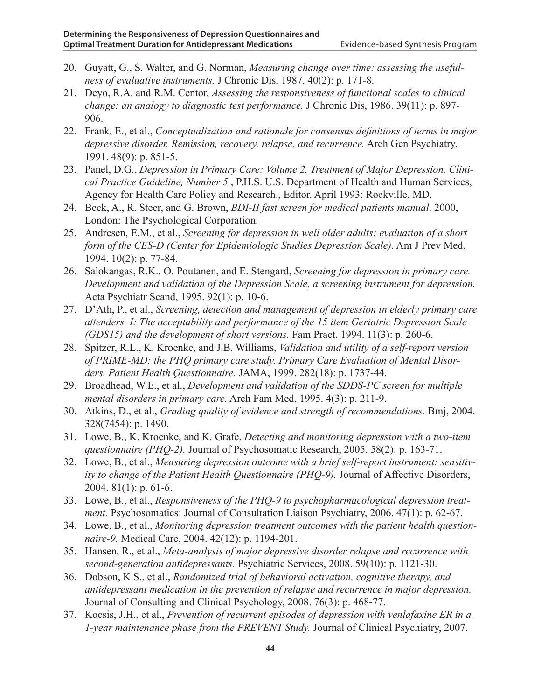- 20. Guyatt, G., S. Walter, and G. Norman, *Measuring change over time: assessing the usefulness of evaluative instruments.* J Chronic Dis, 1987. 40(2): p. 171-8.
- 21. Deyo, R.A. and R.M. Centor, *Assessing the responsiveness of functional scales to clinical change: an analogy to diagnostic test performance.* J Chronic Dis, 1986. 39(11): p. 897- 906.
- 22. Frank, E., et al., *Conceptualization and rationale for consensus definitions of terms in major depressive disorder. Remission, recovery, relapse, and recurrence.* Arch Gen Psychiatry, 1991. 48(9): p. 851-5.
- 23. Panel, D.G., *Depression in Primary Care: Volume 2. Treatment of Major Depression. Clinical Practice Guideline, Number 5.*, P.H.S. U.S. Department of Health and Human Services, Agency for Health Care Policy and Research., Editor. April 1993: Rockville, MD.
- 24. Beck, A., R. Steer, and G. Brown, *BDI-II fast screen for medical patients manual*. 2000, London: The Psychological Corporation.
- 25. Andresen, E.M., et al., *Screening for depression in well older adults: evaluation of a short form of the CES-D (Center for Epidemiologic Studies Depression Scale).* Am J Prev Med, 1994. 10(2): p. 77-84.
- 26. Salokangas, R.K., O. Poutanen, and E. Stengard, *Screening for depression in primary care. Development and validation of the Depression Scale, a screening instrument for depression.* Acta Psychiatr Scand, 1995. 92(1): p. 10-6.
- 27. D'Ath, P., et al., *Screening, detection and management of depression in elderly primary care attenders. I: The acceptability and performance of the 15 item Geriatric Depression Scale (GDS15) and the development of short versions.* Fam Pract, 1994. 11(3): p. 260-6.
- 28. Spitzer, R.L., K. Kroenke, and J.B. Williams, *Validation and utility of a self-report version of PRIME-MD: the PHQ primary care study. Primary Care Evaluation of Mental Disorders. Patient Health Questionnaire.* JAMA, 1999. 282(18): p. 1737-44.
- 29. Broadhead, W.E., et al., *Development and validation of the SDDS-PC screen for multiple mental disorders in primary care.* Arch Fam Med, 1995. 4(3): p. 211-9.
- 30. Atkins, D., et al., *Grading quality of evidence and strength of recommendations.* Bmj, 2004. 328(7454): p. 1490.
- 31. Lowe, B., K. Kroenke, and K. Grafe, *Detecting and monitoring depression with a two-item questionnaire (PHQ-2).* Journal of Psychosomatic Research, 2005. 58(2): p. 163-71.
- 32. Lowe, B., et al., *Measuring depression outcome with a brief self-report instrument: sensitivity to change of the Patient Health Questionnaire (PHQ-9).* Journal of Affective Disorders, 2004. 81(1): p. 61-6.
- 33. Lowe, B., et al., *Responsiveness of the PHQ-9 to psychopharmacological depression treatment.* Psychosomatics: Journal of Consultation Liaison Psychiatry, 2006. 47(1): p. 62-67.
- 34. Lowe, B., et al., *Monitoring depression treatment outcomes with the patient health questionnaire-9.* Medical Care, 2004. 42(12): p. 1194-201.
- 35. Hansen, R., et al., *Meta-analysis of major depressive disorder relapse and recurrence with second-generation antidepressants.* Psychiatric Services, 2008. 59(10): p. 1121-30.
- 36. Dobson, K.S., et al., *Randomized trial of behavioral activation, cognitive therapy, and antidepressant medication in the prevention of relapse and recurrence in major depression.* Journal of Consulting and Clinical Psychology, 2008. 76(3): p. 468-77.
- 37. Kocsis, J.H., et al., *Prevention of recurrent episodes of depression with venlafaxine ER in a 1-year maintenance phase from the PREVENT Study.* Journal of Clinical Psychiatry, 2007.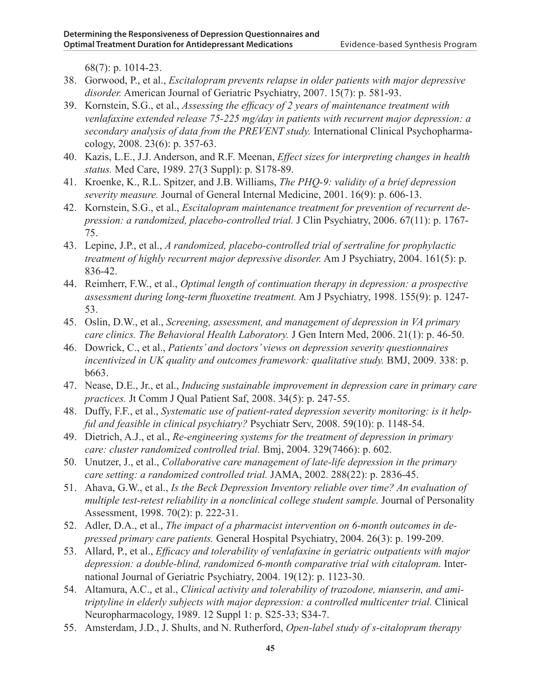68(7): p. 1014-23.

- 38. Gorwood, P., et al., *Escitalopram prevents relapse in older patients with major depressive disorder.* American Journal of Geriatric Psychiatry, 2007. 15(7): p. 581-93.
- 39. Kornstein, S.G., et al., *Assessing the efficacy of 2 years of maintenance treatment with venlafaxine extended release 75-225 mg/day in patients with recurrent major depression: a secondary analysis of data from the PREVENT study.* International Clinical Psychopharmacology, 2008. 23(6): p. 357-63.
- 40. Kazis, L.E., J.J. Anderson, and R.F. Meenan, *Effect sizes for interpreting changes in health status.* Med Care, 1989. 27(3 Suppl): p. S178-89.
- 41. Kroenke, K., R.L. Spitzer, and J.B. Williams, *The PHQ-9: validity of a brief depression severity measure.* Journal of General Internal Medicine, 2001. 16(9): p. 606-13.
- 42. Kornstein, S.G., et al., *Escitalopram maintenance treatment for prevention of recurrent depression: a randomized, placebo-controlled trial.* J Clin Psychiatry, 2006. 67(11): p. 1767- 75.
- 43. Lepine, J.P., et al., *A randomized, placebo-controlled trial of sertraline for prophylactic treatment of highly recurrent major depressive disorder.* Am J Psychiatry, 2004. 161(5): p. 836-42.
- 44. Reimherr, F.W., et al., *Optimal length of continuation therapy in depression: a prospective assessment during long-term fluoxetine treatment.* Am J Psychiatry, 1998. 155(9): p. 1247- 53.
- 45. Oslin, D.W., et al., *Screening, assessment, and management of depression in VA primary care clinics. The Behavioral Health Laboratory.* J Gen Intern Med, 2006. 21(1): p. 46-50.
- 46. Dowrick, C., et al., *Patients' and doctors' views on depression severity questionnaires incentivized in UK quality and outcomes framework: qualitative study.* BMJ, 2009. 338: p. b663.
- 47. Nease, D.E., Jr., et al., *Inducing sustainable improvement in depression care in primary care practices.* Jt Comm J Qual Patient Saf, 2008. 34(5): p. 247-55.
- 48. Duffy, F.F., et al., *Systematic use of patient-rated depression severity monitoring: is it helpful and feasible in clinical psychiatry?* Psychiatr Serv, 2008. 59(10): p. 1148-54.
- 49. Dietrich, A.J., et al., *Re-engineering systems for the treatment of depression in primary care: cluster randomized controlled trial.* Bmj, 2004. 329(7466): p. 602.
- 50. Unutzer, J., et al., *Collaborative care management of late-life depression in the primary care setting: a randomized controlled trial.* JAMA, 2002. 288(22): p. 2836-45.
- 51. Ahava, G.W., et al., *Is the Beck Depression Inventory reliable over time? An evaluation of multiple test-retest reliability in a nonclinical college student sample.* Journal of Personality Assessment, 1998. 70(2): p. 222-31.
- 52. Adler, D.A., et al., *The impact of a pharmacist intervention on 6-month outcomes in depressed primary care patients.* General Hospital Psychiatry, 2004. 26(3): p. 199-209.
- 53. Allard, P., et al., *Efficacy and tolerability of venlafaxine in geriatric outpatients with major depression: a double-blind, randomized 6-month comparative trial with citalopram.* International Journal of Geriatric Psychiatry, 2004. 19(12): p. 1123-30.
- 54. Altamura, A.C., et al., *Clinical activity and tolerability of trazodone, mianserin, and amitriptyline in elderly subjects with major depression: a controlled multicenter trial.* Clinical Neuropharmacology, 1989. 12 Suppl 1: p. S25-33; S34-7.
- 55. Amsterdam, J.D., J. Shults, and N. Rutherford, *Open-label study of s-citalopram therapy*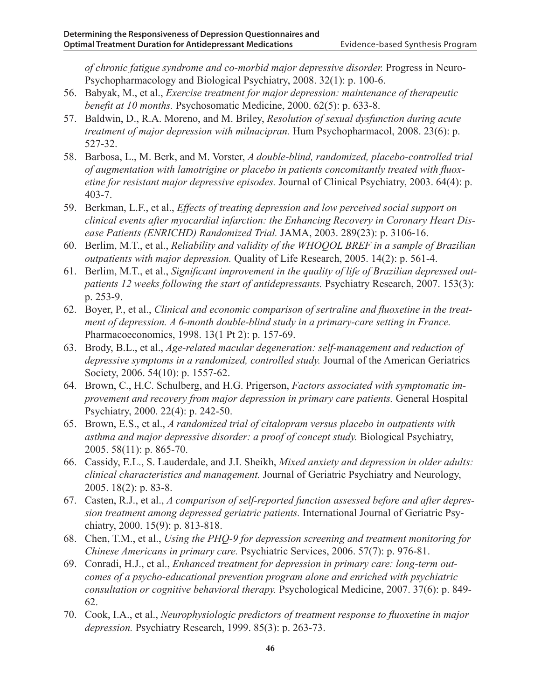*of chronic fatigue syndrome and co-morbid major depressive disorder.* Progress in Neuro-Psychopharmacology and Biological Psychiatry, 2008. 32(1): p. 100-6.

- 56. Babyak, M., et al., *Exercise treatment for major depression: maintenance of therapeutic benefit at 10 months.* Psychosomatic Medicine, 2000. 62(5): p. 633-8.
- 57. Baldwin, D., R.A. Moreno, and M. Briley, *Resolution of sexual dysfunction during acute treatment of major depression with milnacipran.* Hum Psychopharmacol, 2008. 23(6): p. 527-32.
- 58. Barbosa, L., M. Berk, and M. Vorster, *A double-blind, randomized, placebo-controlled trial of augmentation with lamotrigine or placebo in patients concomitantly treated with fluoxetine for resistant major depressive episodes.* Journal of Clinical Psychiatry, 2003. 64(4): p. 403-7.
- 59. Berkman, L.F., et al., *Effects of treating depression and low perceived social support on clinical events after myocardial infarction: the Enhancing Recovery in Coronary Heart Disease Patients (ENRICHD) Randomized Trial.* JAMA, 2003. 289(23): p. 3106-16.
- 60. Berlim, M.T., et al., *Reliability and validity of the WHOQOL BREF in a sample of Brazilian outpatients with major depression.* Quality of Life Research, 2005. 14(2): p. 561-4.
- 61. Berlim, M.T., et al., *Significant improvement in the quality of life of Brazilian depressed outpatients 12 weeks following the start of antidepressants.* Psychiatry Research, 2007. 153(3): p. 253-9.
- 62. Boyer, P., et al., *Clinical and economic comparison of sertraline and fluoxetine in the treatment of depression. A 6-month double-blind study in a primary-care setting in France.* Pharmacoeconomics, 1998. 13(1 Pt 2): p. 157-69.
- 63. Brody, B.L., et al., *Age-related macular degeneration: self-management and reduction of depressive symptoms in a randomized, controlled study.* Journal of the American Geriatrics Society, 2006. 54(10): p. 1557-62.
- 64. Brown, C., H.C. Schulberg, and H.G. Prigerson, *Factors associated with symptomatic improvement and recovery from major depression in primary care patients.* General Hospital Psychiatry, 2000. 22(4): p. 242-50.
- 65. Brown, E.S., et al., *A randomized trial of citalopram versus placebo in outpatients with asthma and major depressive disorder: a proof of concept study.* Biological Psychiatry, 2005. 58(11): p. 865-70.
- 66. Cassidy, E.L., S. Lauderdale, and J.I. Sheikh, *Mixed anxiety and depression in older adults: clinical characteristics and management.* Journal of Geriatric Psychiatry and Neurology, 2005. 18(2): p. 83-8.
- 67. Casten, R.J., et al., *A comparison of self-reported function assessed before and after depression treatment among depressed geriatric patients.* International Journal of Geriatric Psychiatry, 2000. 15(9): p. 813-818.
- 68. Chen, T.M., et al., *Using the PHQ-9 for depression screening and treatment monitoring for Chinese Americans in primary care.* Psychiatric Services, 2006. 57(7): p. 976-81.
- 69. Conradi, H.J., et al., *Enhanced treatment for depression in primary care: long-term outcomes of a psycho-educational prevention program alone and enriched with psychiatric consultation or cognitive behavioral therapy.* Psychological Medicine, 2007. 37(6): p. 849- 62.
- 70. Cook, I.A., et al., *Neurophysiologic predictors of treatment response to fluoxetine in major depression.* Psychiatry Research, 1999. 85(3): p. 263-73.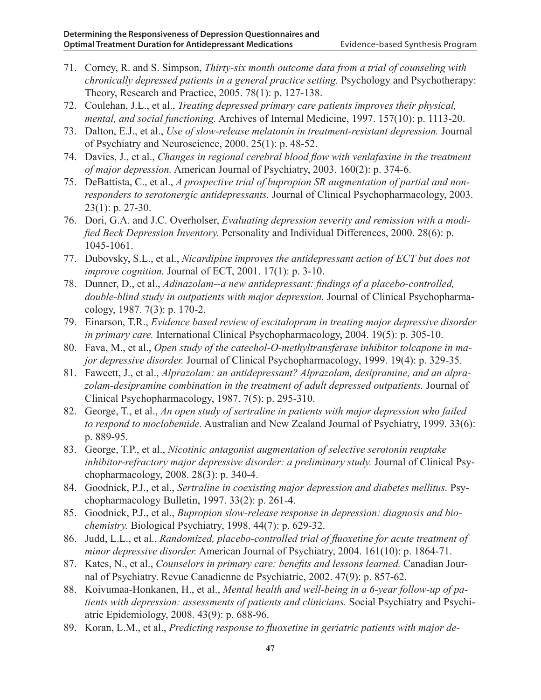- 71. Corney, R. and S. Simpson, *Thirty-six month outcome data from a trial of counseling with chronically depressed patients in a general practice setting.* Psychology and Psychotherapy: Theory, Research and Practice, 2005. 78(1): p. 127-138.
- 72. Coulehan, J.L., et al., *Treating depressed primary care patients improves their physical, mental, and social functioning.* Archives of Internal Medicine, 1997. 157(10): p. 1113-20.
- 73. Dalton, E.J., et al., *Use of slow-release melatonin in treatment-resistant depression.* Journal of Psychiatry and Neuroscience, 2000. 25(1): p. 48-52.
- 74. Davies, J., et al., *Changes in regional cerebral blood flow with venlafaxine in the treatment of major depression.* American Journal of Psychiatry, 2003. 160(2): p. 374-6.
- 75. DeBattista, C., et al., *A prospective trial of bupropion SR augmentation of partial and nonresponders to serotonergic antidepressants.* Journal of Clinical Psychopharmacology, 2003. 23(1): p. 27-30.
- 76. Dori, G.A. and J.C. Overholser, *Evaluating depression severity and remission with a modified Beck Depression Inventory.* Personality and Individual Differences, 2000. 28(6): p. 1045-1061.
- 77. Dubovsky, S.L., et al., *Nicardipine improves the antidepressant action of ECT but does not improve cognition.* Journal of ECT, 2001. 17(1): p. 3-10.
- 78. Dunner, D., et al., *Adinazolam--a new antidepressant: findings of a placebo-controlled, double-blind study in outpatients with major depression.* Journal of Clinical Psychopharmacology, 1987. 7(3): p. 170-2.
- 79. Einarson, T.R., *Evidence based review of escitalopram in treating major depressive disorder in primary care.* International Clinical Psychopharmacology, 2004. 19(5): p. 305-10.
- 80. Fava, M., et al., *Open study of the catechol-O-methyltransferase inhibitor tolcapone in major depressive disorder.* Journal of Clinical Psychopharmacology, 1999. 19(4): p. 329-35.
- 81. Fawcett, J., et al., *Alprazolam: an antidepressant? Alprazolam, desipramine, and an alprazolam-desipramine combination in the treatment of adult depressed outpatients.* Journal of Clinical Psychopharmacology, 1987. 7(5): p. 295-310.
- 82. George, T., et al., *An open study of sertraline in patients with major depression who failed to respond to moclobemide.* Australian and New Zealand Journal of Psychiatry, 1999. 33(6): p. 889-95.
- 83. George, T.P., et al., *Nicotinic antagonist augmentation of selective serotonin reuptake inhibitor-refractory major depressive disorder: a preliminary study.* Journal of Clinical Psychopharmacology, 2008. 28(3): p. 340-4.
- 84. Goodnick, P.J., et al., *Sertraline in coexisting major depression and diabetes mellitus.* Psychopharmacology Bulletin, 1997. 33(2): p. 261-4.
- 85. Goodnick, P.J., et al., *Bupropion slow-release response in depression: diagnosis and biochemistry.* Biological Psychiatry, 1998. 44(7): p. 629-32.
- 86. Judd, L.L., et al., *Randomized, placebo-controlled trial of fluoxetine for acute treatment of minor depressive disorder.* American Journal of Psychiatry, 2004. 161(10): p. 1864-71.
- 87. Kates, N., et al., *Counselors in primary care: benefits and lessons learned.* Canadian Journal of Psychiatry. Revue Canadienne de Psychiatrie, 2002. 47(9): p. 857-62.
- 88. Koivumaa-Honkanen, H., et al., *Mental health and well-being in a 6-year follow-up of patients with depression: assessments of patients and clinicians.* Social Psychiatry and Psychiatric Epidemiology, 2008. 43(9): p. 688-96.
- 89. Koran, L.M., et al., *Predicting response to fluoxetine in geriatric patients with major de-*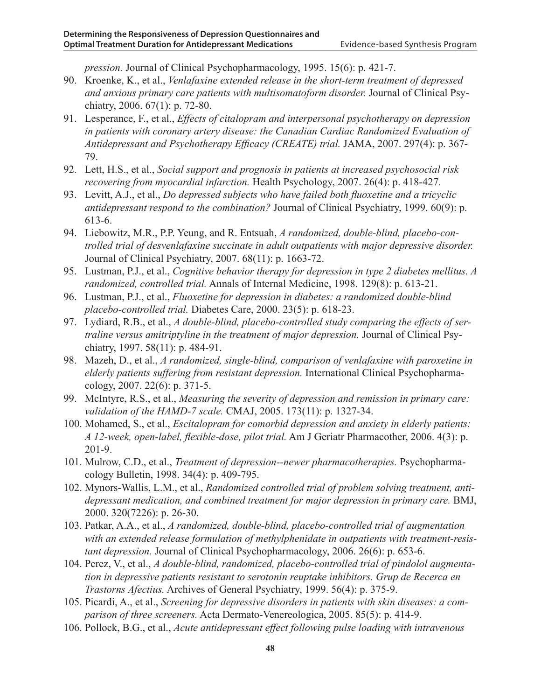*pression.* Journal of Clinical Psychopharmacology, 1995. 15(6): p. 421-7.

- 90. Kroenke, K., et al., *Venlafaxine extended release in the short-term treatment of depressed and anxious primary care patients with multisomatoform disorder.* Journal of Clinical Psychiatry, 2006. 67(1): p. 72-80.
- 91. Lesperance, F., et al., *Effects of citalopram and interpersonal psychotherapy on depression in patients with coronary artery disease: the Canadian Cardiac Randomized Evaluation of Antidepressant and Psychotherapy Efficacy (CREATE) trial.* JAMA, 2007. 297(4): p. 367- 79.
- 92. Lett, H.S., et al., *Social support and prognosis in patients at increased psychosocial risk recovering from myocardial infarction.* Health Psychology, 2007. 26(4): p. 418-427.
- 93. Levitt, A.J., et al., *Do depressed subjects who have failed both fluoxetine and a tricyclic antidepressant respond to the combination?* Journal of Clinical Psychiatry, 1999. 60(9): p. 613-6.
- 94. Liebowitz, M.R., P.P. Yeung, and R. Entsuah, *A randomized, double-blind, placebo-controlled trial of desvenlafaxine succinate in adult outpatients with major depressive disorder.* Journal of Clinical Psychiatry, 2007. 68(11): p. 1663-72.
- 95. Lustman, P.J., et al., *Cognitive behavior therapy for depression in type 2 diabetes mellitus. A randomized, controlled trial.* Annals of Internal Medicine, 1998. 129(8): p. 613-21.
- 96. Lustman, P.J., et al., *Fluoxetine for depression in diabetes: a randomized double-blind placebo-controlled trial.* Diabetes Care, 2000. 23(5): p. 618-23.
- 97. Lydiard, R.B., et al., *A double-blind, placebo-controlled study comparing the effects of sertraline versus amitriptyline in the treatment of major depression.* Journal of Clinical Psychiatry, 1997. 58(11): p. 484-91.
- 98. Mazeh, D., et al., *A randomized, single-blind, comparison of venlafaxine with paroxetine in elderly patients suffering from resistant depression.* International Clinical Psychopharmacology, 2007. 22(6): p. 371-5.
- 99. McIntyre, R.S., et al., *Measuring the severity of depression and remission in primary care: validation of the HAMD-7 scale.* CMAJ, 2005. 173(11): p. 1327-34.
- 100. Mohamed, S., et al., *Escitalopram for comorbid depression and anxiety in elderly patients: A 12-week, open-label, flexible-dose, pilot trial.* Am J Geriatr Pharmacother, 2006. 4(3): p. 201-9.
- 101. Mulrow, C.D., et al., *Treatment of depression--newer pharmacotherapies.* Psychopharmacology Bulletin, 1998. 34(4): p. 409-795.
- 102. Mynors-Wallis, L.M., et al., *Randomized controlled trial of problem solving treatment, antidepressant medication, and combined treatment for major depression in primary care.* BMJ, 2000. 320(7226): p. 26-30.
- 103. Patkar, A.A., et al., *A randomized, double-blind, placebo-controlled trial of augmentation with an extended release formulation of methylphenidate in outpatients with treatment-resistant depression.* Journal of Clinical Psychopharmacology, 2006. 26(6): p. 653-6.
- 104. Perez, V., et al., *A double-blind, randomized, placebo-controlled trial of pindolol augmentation in depressive patients resistant to serotonin reuptake inhibitors. Grup de Recerca en Trastorns Afectius.* Archives of General Psychiatry, 1999. 56(4): p. 375-9.
- 105. Picardi, A., et al., *Screening for depressive disorders in patients with skin diseases: a comparison of three screeners.* Acta Dermato-Venereologica, 2005. 85(5): p. 414-9.
- 106. Pollock, B.G., et al., *Acute antidepressant effect following pulse loading with intravenous*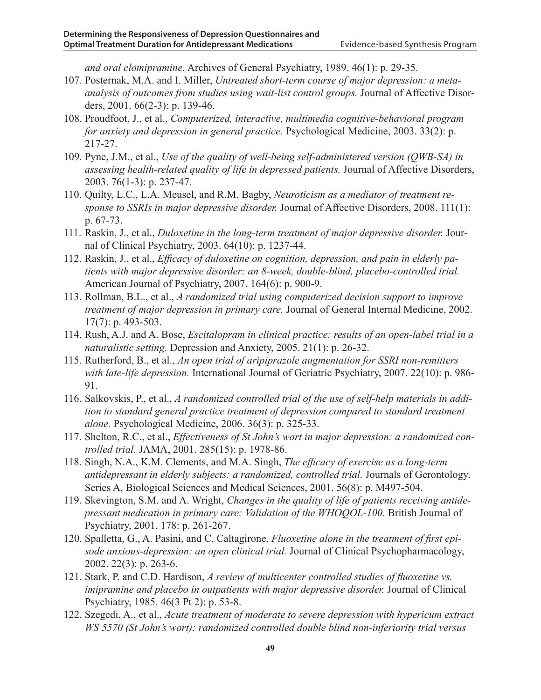*and oral clomipramine.* Archives of General Psychiatry, 1989. 46(1): p. 29-35.

- 107. Posternak, M.A. and I. Miller, *Untreated short-term course of major depression: a metaanalysis of outcomes from studies using wait-list control groups.* Journal of Affective Disorders, 2001. 66(2-3): p. 139-46.
- 108. Proudfoot, J., et al., *Computerized, interactive, multimedia cognitive-behavioral program for anxiety and depression in general practice.* Psychological Medicine, 2003. 33(2): p. 217-27.
- 109. Pyne, J.M., et al., *Use of the quality of well-being self-administered version (QWB-SA) in assessing health-related quality of life in depressed patients.* Journal of Affective Disorders, 2003. 76(1-3): p. 237-47.
- 110. Quilty, L.C., L.A. Meusel, and R.M. Bagby, *Neuroticism as a mediator of treatment response to SSRIs in major depressive disorder.* Journal of Affective Disorders, 2008. 111(1): p. 67-73.
- 111. Raskin, J., et al., *Duloxetine in the long-term treatment of major depressive disorder.* Journal of Clinical Psychiatry, 2003. 64(10): p. 1237-44.
- 112. Raskin, J., et al., *Efficacy of duloxetine on cognition, depression, and pain in elderly patients with major depressive disorder: an 8-week, double-blind, placebo-controlled trial.* American Journal of Psychiatry, 2007. 164(6): p. 900-9.
- 113. Rollman, B.L., et al., *A randomized trial using computerized decision support to improve treatment of major depression in primary care.* Journal of General Internal Medicine, 2002. 17(7): p. 493-503.
- 114. Rush, A.J. and A. Bose, *Escitalopram in clinical practice: results of an open-label trial in a naturalistic setting.* Depression and Anxiety, 2005. 21(1): p. 26-32.
- 115. Rutherford, B., et al., *An open trial of aripiprazole augmentation for SSRI non-remitters with late-life depression.* International Journal of Geriatric Psychiatry, 2007. 22(10): p. 986- 91.
- 116. Salkovskis, P., et al., *A randomized controlled trial of the use of self-help materials in addition to standard general practice treatment of depression compared to standard treatment alone.* Psychological Medicine, 2006. 36(3): p. 325-33.
- 117. Shelton, R.C., et al., *Effectiveness of St John's wort in major depression: a randomized controlled trial.* JAMA, 2001. 285(15): p. 1978-86.
- 118. Singh, N.A., K.M. Clements, and M.A. Singh, *The efficacy of exercise as a long-term antidepressant in elderly subjects: a randomized, controlled trial.* Journals of Gerontology. Series A, Biological Sciences and Medical Sciences, 2001. 56(8): p. M497-504.
- 119. Skevington, S.M. and A. Wright, *Changes in the quality of life of patients receiving antidepressant medication in primary care: Validation of the WHOQOL-100.* British Journal of Psychiatry, 2001. 178: p. 261-267.
- 120. Spalletta, G., A. Pasini, and C. Caltagirone, *Fluoxetine alone in the treatment of first episode anxious-depression: an open clinical trial.* Journal of Clinical Psychopharmacology, 2002. 22(3): p. 263-6.
- 121. Stark, P. and C.D. Hardison, *A review of multicenter controlled studies of fluoxetine vs. imipramine and placebo in outpatients with major depressive disorder.* Journal of Clinical Psychiatry, 1985. 46(3 Pt 2): p. 53-8.
- 122. Szegedi, A., et al., *Acute treatment of moderate to severe depression with hypericum extract WS 5570 (St John's wort): randomized controlled double blind non-inferiority trial versus*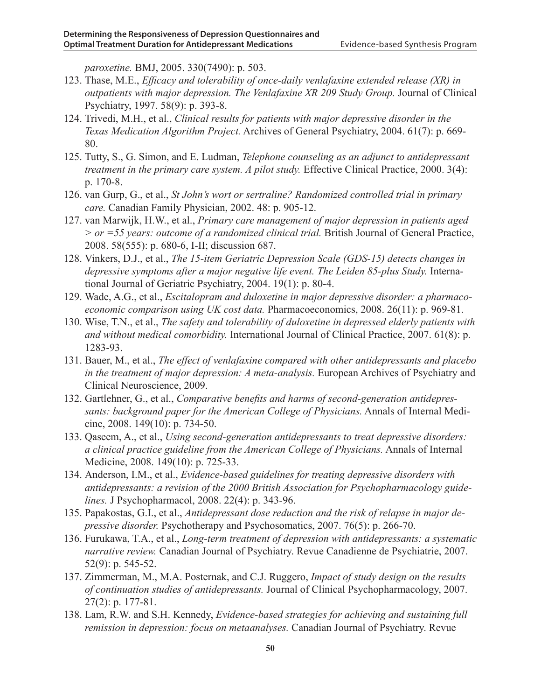*paroxetine.* BMJ, 2005. 330(7490): p. 503.

- 123. Thase, M.E., *Efficacy and tolerability of once-daily venlafaxine extended release (XR) in outpatients with major depression. The Venlafaxine XR 209 Study Group.* Journal of Clinical Psychiatry, 1997. 58(9): p. 393-8.
- 124. Trivedi, M.H., et al., *Clinical results for patients with major depressive disorder in the Texas Medication Algorithm Project.* Archives of General Psychiatry, 2004. 61(7): p. 669- 80.
- 125. Tutty, S., G. Simon, and E. Ludman, *Telephone counseling as an adjunct to antidepressant treatment in the primary care system. A pilot study.* Effective Clinical Practice, 2000. 3(4): p. 170-8.
- 126. van Gurp, G., et al., *St John's wort or sertraline? Randomized controlled trial in primary care.* Canadian Family Physician, 2002. 48: p. 905-12.
- 127. van Marwijk, H.W., et al., *Primary care management of major depression in patients aged > or =55 years: outcome of a randomized clinical trial.* British Journal of General Practice, 2008. 58(555): p. 680-6, I-II; discussion 687.
- 128. Vinkers, D.J., et al., *The 15-item Geriatric Depression Scale (GDS-15) detects changes in depressive symptoms after a major negative life event. The Leiden 85-plus Study.* International Journal of Geriatric Psychiatry, 2004. 19(1): p. 80-4.
- 129. Wade, A.G., et al., *Escitalopram and duloxetine in major depressive disorder: a pharmacoeconomic comparison using UK cost data.* Pharmacoeconomics, 2008. 26(11): p. 969-81.
- 130. Wise, T.N., et al., *The safety and tolerability of duloxetine in depressed elderly patients with and without medical comorbidity.* International Journal of Clinical Practice, 2007. 61(8): p. 1283-93.
- 131. Bauer, M., et al., *The effect of venlafaxine compared with other antidepressants and placebo in the treatment of major depression: A meta-analysis.* European Archives of Psychiatry and Clinical Neuroscience, 2009.
- 132. Gartlehner, G., et al., *Comparative benefits and harms of second-generation antidepressants: background paper for the American College of Physicians.* Annals of Internal Medicine, 2008. 149(10): p. 734-50.
- 133. Qaseem, A., et al., *Using second-generation antidepressants to treat depressive disorders: a clinical practice guideline from the American College of Physicians.* Annals of Internal Medicine, 2008. 149(10): p. 725-33.
- 134. Anderson, I.M., et al., *Evidence-based guidelines for treating depressive disorders with antidepressants: a revision of the 2000 British Association for Psychopharmacology guidelines.* J Psychopharmacol, 2008. 22(4): p. 343-96.
- 135. Papakostas, G.I., et al., *Antidepressant dose reduction and the risk of relapse in major depressive disorder.* Psychotherapy and Psychosomatics, 2007. 76(5): p. 266-70.
- 136. Furukawa, T.A., et al., *Long-term treatment of depression with antidepressants: a systematic narrative review.* Canadian Journal of Psychiatry. Revue Canadienne de Psychiatrie, 2007. 52(9): p. 545-52.
- 137. Zimmerman, M., M.A. Posternak, and C.J. Ruggero, *Impact of study design on the results of continuation studies of antidepressants.* Journal of Clinical Psychopharmacology, 2007. 27(2): p. 177-81.
- 138. Lam, R.W. and S.H. Kennedy, *Evidence-based strategies for achieving and sustaining full remission in depression: focus on metaanalyses.* Canadian Journal of Psychiatry. Revue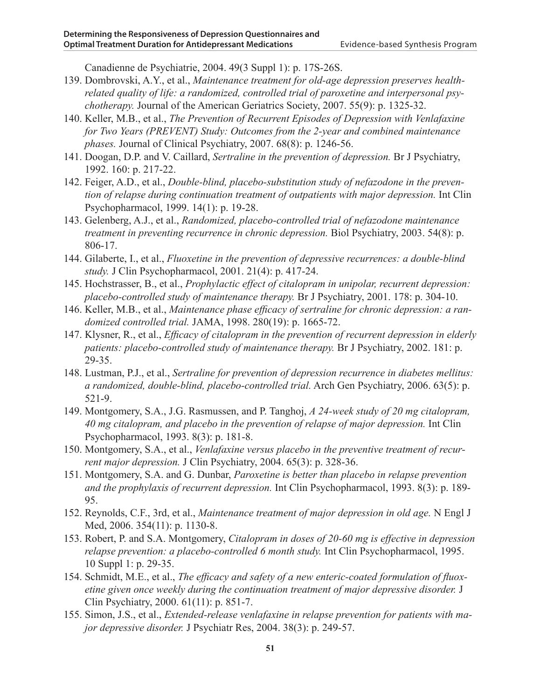Canadienne de Psychiatrie, 2004. 49(3 Suppl 1): p. 17S-26S.

- 139. Dombrovski, A.Y., et al., *Maintenance treatment for old-age depression preserves healthrelated quality of life: a randomized, controlled trial of paroxetine and interpersonal psychotherapy.* Journal of the American Geriatrics Society, 2007. 55(9): p. 1325-32.
- 140. Keller, M.B., et al., *The Prevention of Recurrent Episodes of Depression with Venlafaxine for Two Years (PREVENT) Study: Outcomes from the 2-year and combined maintenance phases.* Journal of Clinical Psychiatry, 2007. 68(8): p. 1246-56.
- 141. Doogan, D.P. and V. Caillard, *Sertraline in the prevention of depression.* Br J Psychiatry, 1992. 160: p. 217-22.
- 142. Feiger, A.D., et al., *Double-blind, placebo-substitution study of nefazodone in the prevention of relapse during continuation treatment of outpatients with major depression.* Int Clin Psychopharmacol, 1999. 14(1): p. 19-28.
- 143. Gelenberg, A.J., et al., *Randomized, placebo-controlled trial of nefazodone maintenance treatment in preventing recurrence in chronic depression.* Biol Psychiatry, 2003. 54(8): p. 806-17.
- 144. Gilaberte, I., et al., *Fluoxetine in the prevention of depressive recurrences: a double-blind study.* J Clin Psychopharmacol, 2001. 21(4): p. 417-24.
- 145. Hochstrasser, B., et al., *Prophylactic effect of citalopram in unipolar, recurrent depression: placebo-controlled study of maintenance therapy.* Br J Psychiatry, 2001. 178: p. 304-10.
- 146. Keller, M.B., et al., *Maintenance phase efficacy of sertraline for chronic depression: a randomized controlled trial.* JAMA, 1998. 280(19): p. 1665-72.
- 147. Klysner, R., et al., *Efficacy of citalopram in the prevention of recurrent depression in elderly patients: placebo-controlled study of maintenance therapy.* Br J Psychiatry, 2002. 181: p. 29-35.
- 148. Lustman, P.J., et al., *Sertraline for prevention of depression recurrence in diabetes mellitus: a randomized, double-blind, placebo-controlled trial.* Arch Gen Psychiatry, 2006. 63(5): p. 521-9.
- 149. Montgomery, S.A., J.G. Rasmussen, and P. Tanghoj, *A 24-week study of 20 mg citalopram, 40 mg citalopram, and placebo in the prevention of relapse of major depression.* Int Clin Psychopharmacol, 1993. 8(3): p. 181-8.
- 150. Montgomery, S.A., et al., *Venlafaxine versus placebo in the preventive treatment of recurrent major depression.* J Clin Psychiatry, 2004. 65(3): p. 328-36.
- 151. Montgomery, S.A. and G. Dunbar, *Paroxetine is better than placebo in relapse prevention and the prophylaxis of recurrent depression.* Int Clin Psychopharmacol, 1993. 8(3): p. 189- 95.
- 152. Reynolds, C.F., 3rd, et al., *Maintenance treatment of major depression in old age.* N Engl J Med, 2006. 354(11): p. 1130-8.
- 153. Robert, P. and S.A. Montgomery, *Citalopram in doses of 20-60 mg is effective in depression relapse prevention: a placebo-controlled 6 month study.* Int Clin Psychopharmacol, 1995. 10 Suppl 1: p. 29-35.
- 154. Schmidt, M.E., et al., *The efficacy and safety of a new enteric-coated formulation of fluoxetine given once weekly during the continuation treatment of major depressive disorder.* J Clin Psychiatry, 2000. 61(11): p. 851-7.
- 155. Simon, J.S., et al., *Extended-release venlafaxine in relapse prevention for patients with major depressive disorder.* J Psychiatr Res, 2004. 38(3): p. 249-57.